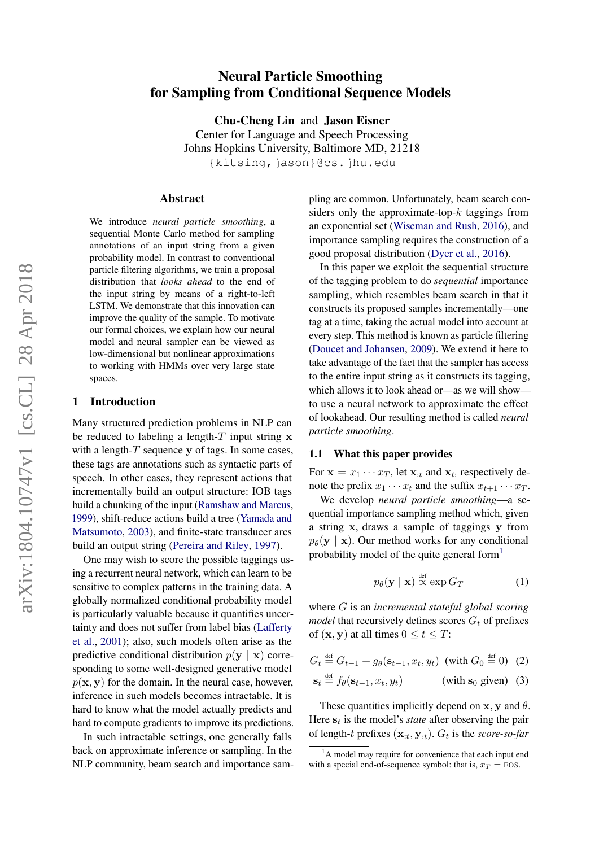# Neural Particle Smoothing for Sampling from Conditional Sequence Models

Chu-Cheng Lin and Jason Eisner Center for Language and Speech Processing Johns Hopkins University, Baltimore MD, 21218 {kitsing,jason}@cs.jhu.edu

#### Abstract

We introduce *neural particle smoothing*, a sequential Monte Carlo method for sampling annotations of an input string from a given probability model. In contrast to conventional particle filtering algorithms, we train a proposal distribution that *looks ahead* to the end of the input string by means of a right-to-left LSTM. We demonstrate that this innovation can improve the quality of the sample. To motivate our formal choices, we explain how our neural model and neural sampler can be viewed as low-dimensional but nonlinear approximations to working with HMMs over very large state spaces.

### <span id="page-0-5"></span>1 Introduction

Many structured prediction problems in NLP can be reduced to labeling a length- $T$  input string  $x$ with a length- $T$  sequence y of tags. In some cases, these tags are annotations such as syntactic parts of speech. In other cases, they represent actions that incrementally build an output structure: IOB tags build a chunking of the input [\(Ramshaw and Marcus,](#page-10-0) [1999\)](#page-10-0), shift-reduce actions build a tree [\(Yamada and](#page-10-1) [Matsumoto,](#page-10-1) [2003\)](#page-10-1), and finite-state transducer arcs build an output string [\(Pereira and Riley,](#page-10-2) [1997\)](#page-10-2).

One may wish to score the possible taggings using a recurrent neural network, which can learn to be sensitive to complex patterns in the training data. A globally normalized conditional probability model is particularly valuable because it quantifies uncertainty and does not suffer from label bias [\(Lafferty](#page-9-0) [et al.,](#page-9-0) [2001\)](#page-9-0); also, such models often arise as the predictive conditional distribution  $p(y | x)$  corresponding to some well-designed generative model  $p(x, y)$  for the domain. In the neural case, however, inference in such models becomes intractable. It is hard to know what the model actually predicts and hard to compute gradients to improve its predictions.

In such intractable settings, one generally falls back on approximate inference or sampling. In the NLP community, beam search and importance sampling are common. Unfortunately, beam search considers only the approximate-top- $k$  taggings from an exponential set [\(Wiseman and Rush,](#page-10-3) [2016\)](#page-10-3), and importance sampling requires the construction of a good proposal distribution [\(Dyer et al.,](#page-9-1) [2016\)](#page-9-1).

In this paper we exploit the sequential structure of the tagging problem to do *sequential* importance sampling, which resembles beam search in that it constructs its proposed samples incrementally—one tag at a time, taking the actual model into account at every step. This method is known as particle filtering [\(Doucet and Johansen,](#page-9-2) [2009\)](#page-9-2). We extend it here to take advantage of the fact that the sampler has access to the entire input string as it constructs its tagging, which allows it to look ahead or—as we will show to use a neural network to approximate the effect of lookahead. Our resulting method is called *neural particle smoothing*.

#### <span id="page-0-2"></span>1.1 What this paper provides

For  $\mathbf{x} = x_1 \cdots x_T$ , let  $\mathbf{x}_{:t}$  and  $\mathbf{x}_{t}$ : respectively denote the prefix  $x_1 \cdots x_t$  and the suffix  $x_{t+1} \cdots x_T$ .

We develop *neural particle smoothing*—a sequential importance sampling method which, given a string x, draws a sample of taggings y from  $p_{\theta}(\mathbf{y} \mid \mathbf{x})$ . Our method works for any conditional probability model of the quite general form<sup>[1](#page-0-0)</sup>

<span id="page-0-4"></span><span id="page-0-3"></span><span id="page-0-1"></span>
$$
p_{\theta}(\mathbf{y} \mid \mathbf{x}) \overset{\text{def}}{\propto} \exp G_T \tag{1}
$$

where G is an *incremental stateful global scoring model* that recursively defines scores  $G_t$  of prefixes of  $(x, y)$  at all times  $0 \le t \le T$ :

$$
G_t \stackrel{\text{def}}{=} G_{t-1} + g_\theta(\mathbf{s}_{t-1}, x_t, y_t) \text{ (with } G_0 \stackrel{\text{def}}{=} 0) \tag{2}
$$

$$
\mathbf{s}_t \stackrel{\text{def}}{=} f_\theta(\mathbf{s}_{t-1}, x_t, y_t) \quad \text{(with } \mathbf{s}_0 \text{ given}) \quad (3)
$$

These quantities implicitly depend on  $x, y$  and  $\theta$ . Here  $s_t$  is the model's *state* after observing the pair of length-t prefixes  $(\mathbf{x}_{:t}, \mathbf{y}_{:t})$ .  $G_t$  is the *score-so-far* 

<span id="page-0-0"></span> $1<sup>1</sup>A$  model may require for convenience that each input end with a special end-of-sequence symbol: that is,  $x_T = EOS$ .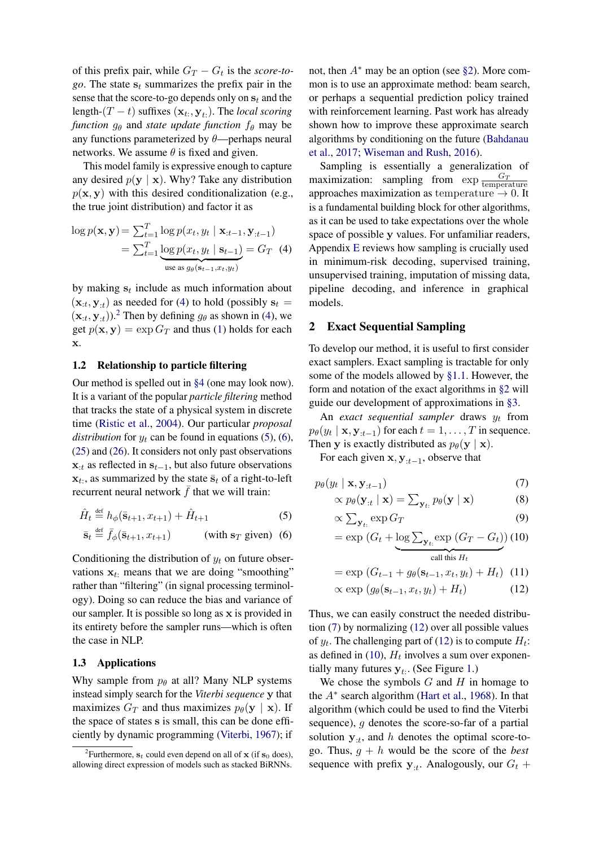of this prefix pair, while  $G_T - G_t$  is the *score-togo*. The state  $s_t$  summarizes the prefix pair in the sense that the score-to-go depends only on  $s_t$  and the length- $(T - t)$  suffixes  $(\mathbf{x}_{t:}, \mathbf{y}_{t:})$ . The *local scoring function*  $g_{\theta}$  and *state update function*  $f_{\theta}$  may be any functions parameterized by  $\theta$ —perhaps neural networks. We assume  $\theta$  is fixed and given.

This model family is expressive enough to capture any desired  $p(y | x)$ . Why? Take any distribution  $p(x, y)$  with this desired conditionalization (e.g., the true joint distribution) and factor it as

$$
\log p(\mathbf{x}, \mathbf{y}) = \sum_{t=1}^{T} \log p(x_t, y_t \mid \mathbf{x}_{:t-1}, \mathbf{y}_{:t-1})
$$

$$
= \sum_{t=1}^{T} \underbrace{\log p(x_t, y_t \mid \mathbf{s}_{t-1})}_{\text{use as } g_{\theta}(\mathbf{s}_{t-1}, x_t, y_t)} = G_T \quad (4)
$$

by making  $s_t$  include as much information about  $(\mathbf{x}_{:t}, \mathbf{y}_{:t})$  as needed for [\(4\)](#page-1-0) to hold (possibly  $\mathbf{s}_t =$  $(\mathbf{x}_{:t}, \mathbf{y}_{:t})$ ).<sup>[2](#page-1-1)</sup> Then by defining  $g_{\theta}$  as shown in [\(4\)](#page-1-0), we get  $p(\mathbf{x}, \mathbf{y}) = \exp G_T$  and thus [\(1\)](#page-0-1) holds for each x.

### <span id="page-1-9"></span>1.2 Relationship to particle filtering

Our method is spelled out in [§4](#page-5-0) (one may look now). It is a variant of the popular *particle filtering* method that tracks the state of a physical system in discrete time [\(Ristic et al.,](#page-10-4) [2004\)](#page-10-4). Our particular *proposal distribution* for  $y_t$  can be found in equations [\(5\)](#page-1-2), [\(6\)](#page-1-3), [\(25\)](#page-4-0) and [\(26\)](#page-4-1). It considers not only past observations  $x_{i,t}$  as reflected in  $s_{t-1}$ , but also future observations  $\mathbf{x}_t$ , as summarized by the state  $\bar{\mathbf{s}}_t$  of a right-to-left recurrent neural network  $\bar{f}$  that we will train:

$$
\hat{H}_t \stackrel{\text{def}}{=} h_{\phi}(\bar{s}_{t+1}, x_{t+1}) + \hat{H}_{t+1} \tag{5}
$$

$$
\bar{\mathbf{s}}_t \stackrel{\text{def}}{=} \bar{f}_{\phi}(\bar{\mathbf{s}}_{t+1}, x_{t+1}) \qquad \text{(with } \mathbf{s}_T \text{ given}) \tag{6}
$$

Conditioning the distribution of  $y_t$  on future observations  $x_t$ : means that we are doing "smoothing" rather than "filtering" (in signal processing terminology). Doing so can reduce the bias and variance of our sampler. It is possible so long as x is provided in its entirety before the sampler runs—which is often the case in NLP.

#### <span id="page-1-10"></span>1.3 Applications

Why sample from  $p_\theta$  at all? Many NLP systems instead simply search for the *Viterbi sequence* y that maximizes  $G_T$  and thus maximizes  $p_\theta(\mathbf{y} \mid \mathbf{x})$ . If the space of states s is small, this can be done efficiently by dynamic programming [\(Viterbi,](#page-10-5) [1967\)](#page-10-5); if

not, then  $A^*$  may be an option (see [§2\)](#page-1-4). More common is to use an approximate method: beam search, or perhaps a sequential prediction policy trained with reinforcement learning. Past work has already shown how to improve these approximate search algorithms by conditioning on the future [\(Bahdanau](#page-9-3) [et al.,](#page-9-3) [2017;](#page-9-3) [Wiseman and Rush,](#page-10-3) [2016\)](#page-10-3).

<span id="page-1-0"></span>Sampling is essentially a generalization of maximization: sampling from  $\exp \frac{G_T}{\text{temperature}}$ approaches maximization as temperature  $\rightarrow 0$ . It is a fundamental building block for other algorithms, as it can be used to take expectations over the whole space of possible y values. For unfamiliar readers, Appendix [E](#page-13-0) reviews how sampling is crucially used in minimum-risk decoding, supervised training, unsupervised training, imputation of missing data, pipeline decoding, and inference in graphical models.

### <span id="page-1-4"></span>2 Exact Sequential Sampling

To develop our method, it is useful to first consider exact samplers. Exact sampling is tractable for only some of the models allowed by [§1.1.](#page-0-2) However, the form and notation of the exact algorithms in [§2](#page-1-4) will guide our development of approximations in [§3.](#page-3-0)

An *exact sequential sampler* draws  $y_t$  from  $p_{\theta}(y_t \mid \mathbf{x}, \mathbf{y}_{:t-1})$  for each  $t = 1, \dots, T$  in sequence. Then y is exactly distributed as  $p_{\theta}(\mathbf{y} \mid \mathbf{x})$ .

For each given  $\mathbf{x}, \mathbf{y}_{:t-1}$ , observe that

∝

<span id="page-1-2"></span>
$$
p_{\theta}(y_t \mid \mathbf{x}, \mathbf{y}_{:t-1}) \tag{7}
$$

$$
\propto p_{\theta}(\mathbf{y}_{:t} | \mathbf{x}) = \sum_{\mathbf{y}_{t:}} p_{\theta}(\mathbf{y} | \mathbf{x}) \tag{8}
$$

<span id="page-1-8"></span><span id="page-1-7"></span><span id="page-1-5"></span>
$$
\zeta \sum_{\mathbf{y}_t, \text{ } \exp G_T} \tag{9}
$$

<span id="page-1-3"></span>
$$
= \exp\left(G_t + \underbrace{\log \sum_{\mathbf{y}_t, \exp\left(G_T - G_t\right)} (10)}_{\text{call this } H_t} \right)
$$

$$
= \exp (G_{t-1} + g_{\theta}(\mathbf{s}_{t-1}, x_t, y_t) + H_t) \tag{11}
$$

<span id="page-1-6"></span>
$$
\propto \exp\left(g_{\theta}(\mathbf{s}_{t-1}, x_t, y_t) + H_t\right) \tag{12}
$$

Thus, we can easily construct the needed distribution [\(7\)](#page-1-5) by normalizing [\(12\)](#page-1-6) over all possible values of  $y_t$ . The challenging part of [\(12\)](#page-1-6) is to compute  $H_t$ : as defined in [\(10\)](#page-1-7),  $H_t$  involves a sum over exponentially many futures  $y_t$ . (See Figure [1.](#page-2-0))

We chose the symbols  $G$  and  $H$  in homage to the  $A^*$  search algorithm [\(Hart et al.,](#page-9-4) [1968\)](#page-9-4). In that algorithm (which could be used to find the Viterbi sequence), g denotes the score-so-far of a partial solution  $y_{:t}$ , and h denotes the optimal score-togo. Thus,  $g + h$  would be the score of the *best* sequence with prefix  $y_{it}$ . Analogously, our  $G_t$  +

<span id="page-1-1"></span><sup>&</sup>lt;sup>2</sup> Furthermore,  $s_t$  could even depend on all of  $x$  (if  $s_0$  does), allowing direct expression of models such as stacked BiRNNs.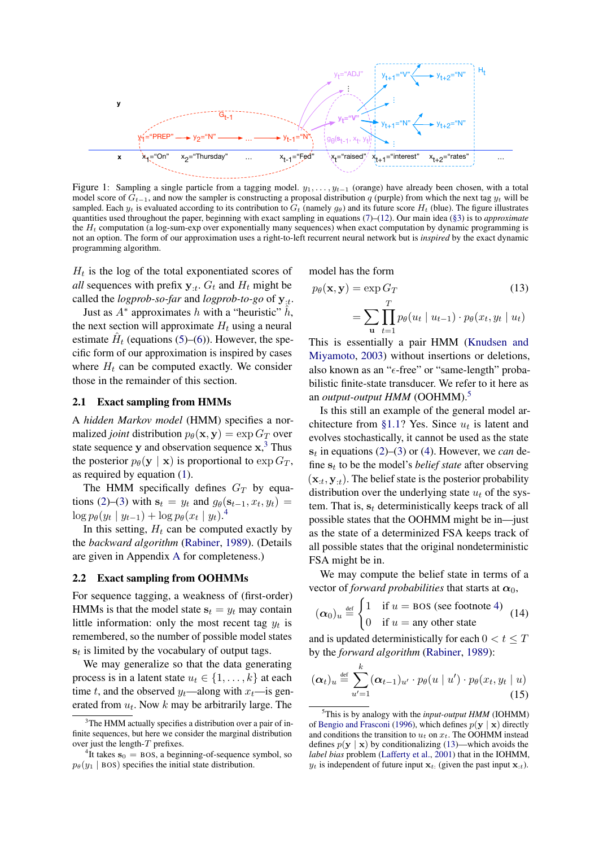<span id="page-2-0"></span>

Figure 1: Sampling a single particle from a tagging model.  $y_1, \ldots, y_{t-1}$  (orange) have already been chosen, with a total model score of  $G_{t-1}$ , and now the sampler is constructing a proposal distribution q (purple) from which the next tag  $y_t$  will be sampled. Each  $y_t$  is evaluated according to its contribution to  $G_t$  (namely  $g_\theta$ ) and its future score  $H_t$  (blue). The figure illustrates quantities used throughout the paper, beginning with exact sampling in equations [\(7\)](#page-1-5)–[\(12\)](#page-1-6). Our main idea [\(§3\)](#page-3-0) is to *approximate* the  $H_t$  computation (a log-sum-exp over exponentially many sequences) when exact computation by dynamic programming is not an option. The form of our approximation uses a right-to-left recurrent neural network but is *inspired* by the exact dynamic programming algorithm.

 $H_t$  is the log of the total exponentiated scores of *all* sequences with prefix  $y_{:t}$ .  $G_t$  and  $H_t$  might be called the *logprob-so-far* and *logprob-to-go* of  $y_{\mu}$ .

Just as  $A^*$  approximates h with a "heuristic"  $\hat{h}$ , the next section will approximate  $H_t$  using a neural estimate  $\hat{H}_t$  (equations [\(5\)](#page-1-2)–[\(6\)](#page-1-3)). However, the specific form of our approximation is inspired by cases where  $H_t$  can be computed exactly. We consider those in the remainder of this section.

### <span id="page-2-6"></span>2.1 Exact sampling from HMMs

A *hidden Markov model* (HMM) specifies a normalized *joint* distribution  $p_{\theta}(\mathbf{x}, \mathbf{y}) = \exp G_T$  over state sequence  $y$  and observation sequence  $x$ ,<sup>[3](#page-2-1)</sup> Thus the posterior  $p_{\theta}(\mathbf{y} \mid \mathbf{x})$  is proportional to  $\exp G_T$ , as required by equation [\(1\)](#page-0-1).

The HMM specifically defines  $G_T$  by equa-tions [\(2\)](#page-0-3)–[\(3\)](#page-0-4) with  $s_t = y_t$  and  $g_\theta(s_{t-1}, x_t, y_t) =$  $\log p_{\theta}(y_t | y_{t-1}) + \log p_{\theta}(x_t | y_t).^4$  $\log p_{\theta}(y_t | y_{t-1}) + \log p_{\theta}(x_t | y_t).^4$ 

In this setting,  $H_t$  can be computed exactly by the *backward algorithm* [\(Rabiner,](#page-10-6) [1989\)](#page-10-6). (Details are given in Appendix [A](#page-11-0) for completeness.)

#### <span id="page-2-7"></span>2.2 Exact sampling from OOHMMs

For sequence tagging, a weakness of (first-order) HMMs is that the model state  $s_t = y_t$  may contain little information: only the most recent tag  $y_t$  is remembered, so the number of possible model states  $s_t$  is limited by the vocabulary of output tags.

We may generalize so that the data generating process is in a latent state  $u_t \in \{1, \ldots, k\}$  at each time t, and the observed  $y_t$ —along with  $x_t$ —is generated from  $u_t$ . Now k may be arbitrarily large. The

model has the form

<span id="page-2-4"></span>
$$
p_{\theta}(\mathbf{x}, \mathbf{y}) = \exp G_T
$$
\n
$$
= \sum_{\mathbf{u}} \prod_{t=1}^T p_{\theta}(u_t \mid u_{t-1}) \cdot p_{\theta}(x_t, y_t \mid u_t)
$$
\n(13)

This is essentially a pair HMM [\(Knudsen and](#page-9-5) [Miyamoto,](#page-9-5) [2003\)](#page-9-5) without insertions or deletions, also known as an " $\epsilon$ -free" or "same-length" probabilistic finite-state transducer. We refer to it here as an *output-output HMM* (OOHMM).[5](#page-2-3)

Is this still an example of the general model ar-chitecture from [§1.1?](#page-0-2) Yes. Since  $u_t$  is latent and evolves stochastically, it cannot be used as the state  $s_t$  in equations [\(2\)](#page-0-3)–[\(3\)](#page-0-4) or [\(4\)](#page-1-0). However, we *can* define  $s_t$  to be the model's *belief state* after observing  $(\mathbf{x}_{:t}, \mathbf{y}_{:t})$ . The belief state is the posterior probability distribution over the underlying state  $u_t$  of the system. That is,  $s_t$  deterministically keeps track of all possible states that the OOHMM might be in—just as the state of a determinized FSA keeps track of all possible states that the original nondeterministic FSA might be in.

We may compute the belief state in terms of a vector of *forward probabilities* that starts at  $\alpha_0$ ,

$$
(\alpha_0)_u \stackrel{\text{def}}{=} \begin{cases} 1 & \text{if } u = \text{BOS (see footnote 4)} \\ 0 & \text{if } u = \text{any other state} \end{cases} (14)
$$

and is updated deterministically for each  $0 < t \leq T$ by the *forward algorithm* [\(Rabiner,](#page-10-6) [1989\)](#page-10-6):

<span id="page-2-5"></span>
$$
(\boldsymbol{\alpha}_t)_u \stackrel{\text{def}}{=} \sum_{u'=1}^k (\boldsymbol{\alpha}_{t-1})_{u'} \cdot p_{\theta}(u \mid u') \cdot p_{\theta}(x_t, y_t \mid u)
$$
\n(15)

<span id="page-2-1"></span> $3$ The HMM actually specifies a distribution over a pair of infinite sequences, but here we consider the marginal distribution over just the length- $T$  prefixes.

<span id="page-2-2"></span><sup>&</sup>lt;sup>4</sup>It takes  $s_0$  = BOS, a beginning-of-sequence symbol, so  $p_{\theta}(y_1 | \text{BOS})$  specifies the initial state distribution.

<span id="page-2-3"></span><sup>5</sup>This is by analogy with the *input-output HMM* (IOHMM) of [Bengio and Frasconi](#page-9-6) [\(1996\)](#page-9-6), which defines  $p(y | x)$  directly and conditions the transition to  $u_t$  on  $x_t$ . The OOHMM instead defines  $p(y | x)$  by conditionalizing [\(13\)](#page-2-4)—which avoids the *label bias* problem [\(Lafferty et al.,](#page-9-0) [2001\)](#page-9-0) that in the IOHMM,  $y_t$  is independent of future input  $\mathbf{x}_t$ . (given the past input  $\mathbf{x}_{t}$ ).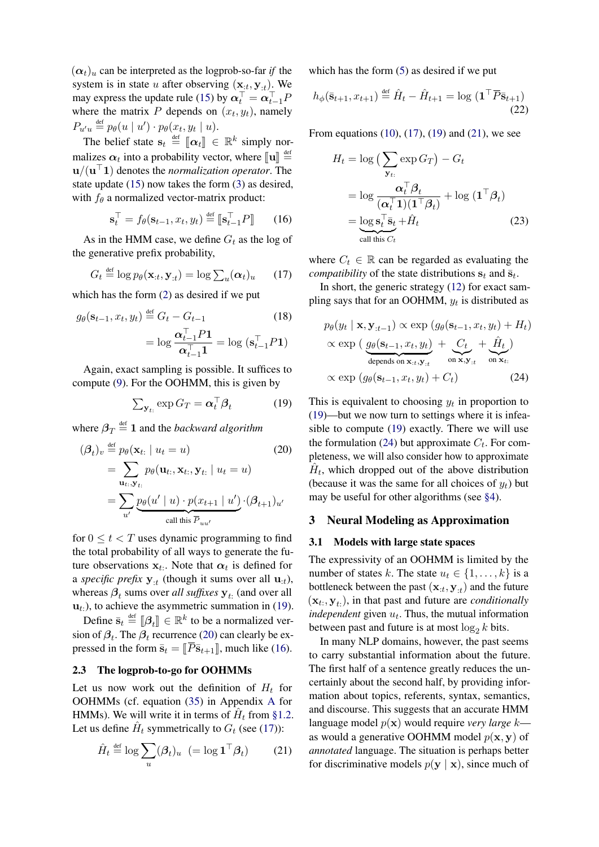$(\alpha_t)_u$  can be interpreted as the logprob-so-far *if* the system is in state u after observing  $(\mathbf{x}_{:t}, \mathbf{y}_{:t})$ . We may express the update rule [\(15\)](#page-2-5) by  $\boldsymbol{\alpha}_t^\top = \boldsymbol{\alpha}_{t-1}^\top P$ where the matrix P depends on  $(x_t, y_t)$ , namely  $P_{u'u} \stackrel{\text{def}}{=} p_{\theta}(u \mid u') \cdot p_{\theta}(x_t, y_t \mid u).$ 

The belief state  $\mathbf{s}_t \stackrel{\text{def}}{=} [\![\boldsymbol{\alpha}_t]\!] \in \mathbb{R}^k$  simply normalizes  $\alpha_t$  into a probability vector, where  $\llbracket \mathbf{u} \rrbracket \stackrel{\text{def}}{=}$ <br> $\cdots$  (( $\mathbf{u}^{\top}$ )) denotes the normalization energton. The  $\mathbf{u}/(\mathbf{u}^{\top}\mathbf{1})$  denotes the *normalization operator*. The state update [\(15\)](#page-2-5) now takes the form [\(3\)](#page-0-4) as desired, with  $f_{\theta}$  a normalized vector-matrix product:

$$
\mathbf{s}_t^{\top} = f_{\theta}(\mathbf{s}_{t-1}, x_t, y_t) \stackrel{\text{def}}{=} [\![\mathbf{s}_{t-1}^{\top} P]\!] \qquad (16)
$$

As in the HMM case, we define  $G_t$  as the log of the generative prefix probability,

$$
G_t \stackrel{\text{def}}{=} \log p_\theta(\mathbf{x}_{:t}, \mathbf{y}_{:t}) = \log \sum_u (\boldsymbol{\alpha}_t)_u \qquad (17)
$$

which has the form [\(2\)](#page-0-3) as desired if we put

$$
g_{\theta}(\mathbf{s}_{t-1}, x_t, y_t) \stackrel{\text{def}}{=} G_t - G_{t-1}
$$
(18)  
=  $\log \frac{\alpha_{t-1}^\top P \mathbf{1}}{\alpha_{t-1}^\top \mathbf{1}} = \log (\mathbf{s}_{t-1}^\top P \mathbf{1})$ 

Again, exact sampling is possible. It suffices to compute [\(9\)](#page-1-8). For the OOHMM, this is given by

$$
\sum_{\mathbf{y}_{t:}} \exp G_T = \boldsymbol{\alpha}_t^\top \boldsymbol{\beta}_t \tag{19}
$$

where  $\beta_T \stackrel{\text{def}}{=} 1$  and the *backward algorithm* 

$$
(\beta_t)_v \stackrel{\text{def}}{=} p_\theta(\mathbf{x}_{t:} \mid u_t = u)
$$
(20)  

$$
= \sum_{\mathbf{u}_t, \mathbf{y}_{t:}} p_\theta(\mathbf{u}_{t:}, \mathbf{x}_{t:}, \mathbf{y}_{t:} \mid u_t = u)
$$
  

$$
= \sum_{u'} \underbrace{p_\theta(u' \mid u) \cdot p(x_{t+1} \mid u')}_{\text{call this } \overline{P}_{uu'}}
$$

for  $0 \le t < T$  uses dynamic programming to find the total probability of all ways to generate the future observations  $x_t$ . Note that  $\alpha_t$  is defined for a *specific prefix*  $y_{:t}$  (though it sums over all  $u_{:t}$ ), whereas  $\beta_t$  sums over *all suffixes*  $y_t$ . (and over all  $u_t$ .), to achieve the asymmetric summation in [\(19\)](#page-3-1).

Define  $\bar{\mathbf{s}}_t \stackrel{\text{def}}{=} [\![\beta_t]\!] \in \mathbb{R}^k$  to be a normalized ver-<br>no of  $\beta$ . The  $\beta$  requirement (20) can also ly be an sion of  $\beta_t$ . The  $\beta_t$  recurrence [\(20\)](#page-3-2) can clearly be expressed in the form  $\bar{s}_t = [\bar{P}\bar{s}_{t+1}]$ , much like [\(16\)](#page-3-3).

### 2.3 The logprob-to-go for OOHMMs

Let us now work out the definition of  $H_t$  for OOHMMs (cf. equation [\(35\)](#page-11-1) in Appendix [A](#page-11-0) for HMMs). We will write it in terms of  $\hat{H}_t$  from [§1.2.](#page-1-9) Let us define  $\hat{H}_t$  symmetrically to  $G_t$  (see [\(17\)](#page-3-4)):

$$
\hat{H}_t \stackrel{\text{def}}{=} \log \sum_u (\beta_t)_u \ \left( = \log \mathbf{1}^\top \beta_t \right) \tag{21}
$$

which has the form  $(5)$  as desired if we put

$$
h_{\phi}(\bar{\mathbf{s}}_{t+1}, x_{t+1}) \stackrel{\text{def}}{=} \hat{H}_t - \hat{H}_{t+1} = \log \left( \mathbf{1}^\top \overline{P} \bar{\mathbf{s}}_{t+1} \right)
$$
(22)

From equations  $(10)$ ,  $(17)$ ,  $(19)$  and  $(21)$ , we see

<span id="page-3-8"></span>
$$
H_t = \log \left( \sum_{\mathbf{y}_t} \exp G_T \right) - G_t
$$
  
= 
$$
\log \frac{\alpha_t^\top \beta_t}{(\alpha_t^\top \mathbf{1})(\mathbf{1}^\top \beta_t)} + \log \left( \mathbf{1}^\top \beta_t \right)
$$
  
= 
$$
\underbrace{\log \mathbf{s}_t^\top \mathbf{\bar{s}}_t}_{\text{call this } C_t} + \hat{H}_t \tag{23}
$$

<span id="page-3-4"></span><span id="page-3-3"></span>where  $C_t \in \mathbb{R}$  can be regarded as evaluating the *compatibility* of the state distributions  $s_t$  and  $\bar{s}_t$ .

<span id="page-3-7"></span>In short, the generic strategy [\(12\)](#page-1-6) for exact sampling says that for an OOHMM,  $y_t$  is distributed as

<span id="page-3-6"></span>
$$
p_{\theta}(y_t | \mathbf{x}, \mathbf{y}_{:t-1}) \propto \exp(g_{\theta}(\mathbf{s}_{t-1}, x_t, y_t) + H_t)
$$
  
 
$$
\propto \exp\left(\underbrace{g_{\theta}(\mathbf{s}_{t-1}, x_t, y_t)}_{\text{depends on } \mathbf{x}_{:t}, \mathbf{y}_{:t}} + \underbrace{C_t}_{\text{on } \mathbf{x}_{:t}} + \hat{H}_t\right)
$$
  
\n
$$
\propto \exp(g_{\theta}(\mathbf{s}_{t-1}, x_t, y_t) + C_t) \qquad (24)
$$

<span id="page-3-2"></span><span id="page-3-1"></span>This is equivalent to choosing  $y_t$  in proportion to [\(19\)](#page-3-1)—but we now turn to settings where it is infeasible to compute [\(19\)](#page-3-1) exactly. There we will use the formulation [\(24\)](#page-3-6) but approximate  $C_t$ . For completeness, we will also consider how to approximate  $\hat{H}_t$ , which dropped out of the above distribution (because it was the same for all choices of  $y_t$ ) but may be useful for other algorithms (see [§4\)](#page-5-0).

#### <span id="page-3-0"></span>3 Neural Modeling as Approximation

#### 3.1 Models with large state spaces

The expressivity of an OOHMM is limited by the number of states k. The state  $u_t \in \{1, \ldots, k\}$  is a bottleneck between the past  $(\mathbf{x}_{:t}, \mathbf{y}_{:t})$  and the future  $(\mathbf{x}_t, \mathbf{y}_t)$ , in that past and future are *conditionally independent* given  $u_t$ . Thus, the mutual information between past and future is at most  $\log_2 k$  bits.

<span id="page-3-5"></span>In many NLP domains, however, the past seems to carry substantial information about the future. The first half of a sentence greatly reduces the uncertainly about the second half, by providing information about topics, referents, syntax, semantics, and discourse. This suggests that an accurate HMM language model p(x) would require *very large* k as would a generative OOHMM model  $p(x, y)$  of *annotated* language. The situation is perhaps better for discriminative models  $p(y | x)$ , since much of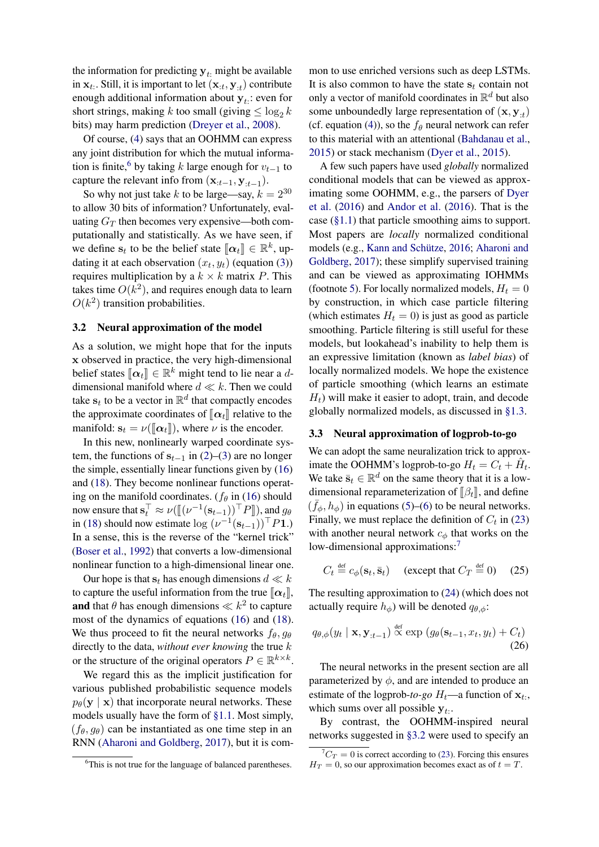the information for predicting  $y_t$ : might be available in  $\mathbf{x}_t$ . Still, it is important to let  $(\mathbf{x}_{:t}, \mathbf{y}_{:t})$  contribute enough additional information about  $y_t$ : even for short strings, making k too small (giving  $\leq \log_2 k$ bits) may harm prediction [\(Dreyer et al.,](#page-9-7) [2008\)](#page-9-7).

Of course, [\(4\)](#page-1-0) says that an OOHMM can express any joint distribution for which the mutual informa-tion is finite,<sup>[6](#page-4-2)</sup> by taking k large enough for  $v_{t-1}$  to capture the relevant info from  $(\mathbf{x}_{:t-1}, \mathbf{y}_{:t-1})$ .

So why not just take k to be large—say,  $k = 2^{30}$ to allow 30 bits of information? Unfortunately, evaluating  $G_T$  then becomes very expensive—both computationally and statistically. As we have seen, if we define  $s_t$  to be the belief state  $[\![\alpha_t]\!] \in \mathbb{R}^k$ , up-<br>define it at each observation  $(x, y)$  (countion (3)) dating it at each observation  $(x_t, y_t)$  (equation [\(3\)](#page-0-4)) requires multiplication by a  $k \times k$  matrix P. This takes time  $O(k^2)$ , and requires enough data to learn  $O(k^2)$  transition probabilities.

### <span id="page-4-4"></span>3.2 Neural approximation of the model

As a solution, we might hope that for the inputs x observed in practice, the very high-dimensional belief states  $[\![\alpha_t]\!] \in \mathbb{R}^k$  might tend to lie near a d-<br>dimensional manifold where  $d \ll h$ . Then we could dimensional manifold where  $d \ll k$ . Then we could take  $\mathbf{s}_t$  to be a vector in  $\mathbb{R}^d$  that compactly encodes the approximate coordinates of  $\llbracket \alpha_t \rrbracket$  relative to the manifold:  $s_t = \nu(\llbracket \alpha_t \rrbracket)$ , where  $\nu$  is the encoder.

In this new, nonlinearly warped coordinate system, the functions of  $s_{t-1}$  in [\(2\)](#page-0-3)–[\(3\)](#page-0-4) are no longer the simple, essentially linear functions given by [\(16\)](#page-3-3) and [\(18\)](#page-3-7). They become nonlinear functions operating on the manifold coordinates. ( $f_\theta$  in [\(16\)](#page-3-3) should now ensure that  $\mathbf{s}_t^{\top} \approx \nu (\llbracket (\nu^{-1}(\mathbf{s}_{t-1}))^{\top} P \rrbracket)$ , and  $g_{\theta}$ <br>in (18) should now estimate  $\log (\nu^{-1}(\mathbf{s}_{t-1}))^{\top} P \mathbf{1}$ . in [\(18\)](#page-3-7) should now estimate  $\log (\nu^{-1}(\mathbf{s}_{t-1}))^\top P \mathbf{1}$ .) In a sense, this is the reverse of the "kernel trick" [\(Boser et al.,](#page-9-8) [1992\)](#page-9-8) that converts a low-dimensional nonlinear function to a high-dimensional linear one.

Our hope is that  $s_t$  has enough dimensions  $d \ll k$ to capture the useful information from the true  $\llbracket \alpha_t \rrbracket$ , and that  $\theta$  has enough dimensions  $\ll k^2$  to capture most of the dynamics of equations [\(16\)](#page-3-3) and [\(18\)](#page-3-7). We thus proceed to fit the neural networks  $f_{\theta}$ ,  $q_{\theta}$ directly to the data, *without ever knowing* the true k or the structure of the original operators  $P \in \mathbb{R}^{k \times k}$ .

We regard this as the implicit justification for various published probabilistic sequence models  $p_{\theta}(\mathbf{y} \mid \mathbf{x})$  that incorporate neural networks. These models usually have the form of [§1.1.](#page-0-2) Most simply,  $(f_{\theta}, g_{\theta})$  can be instantiated as one time step in an RNN [\(Aharoni and Goldberg,](#page-9-9) [2017\)](#page-9-9), but it is com-

mon to use enriched versions such as deep LSTMs. It is also common to have the state  $s_t$  contain not only a vector of manifold coordinates in  $\mathbb{R}^d$  but also some unboundedly large representation of  $(\mathbf{x}, \mathbf{y}_{:t})$ (cf. equation [\(4\)](#page-1-0)), so the  $f_\theta$  neural network can refer to this material with an attentional [\(Bahdanau et al.,](#page-9-10) [2015\)](#page-9-10) or stack mechanism [\(Dyer et al.,](#page-9-11) [2015\)](#page-9-11).

A few such papers have used *globally* normalized conditional models that can be viewed as approximating some OOHMM, e.g., the parsers of [Dyer](#page-9-1) [et al.](#page-9-1) [\(2016\)](#page-9-1) and [Andor et al.](#page-9-12) [\(2016\)](#page-9-12). That is the case  $(\S1.1)$  that particle smoothing aims to support. Most papers are *locally* normalized conditional models (e.g., [Kann and Schütze,](#page-9-13) [2016;](#page-9-13) [Aharoni and](#page-9-9) [Goldberg,](#page-9-9) [2017\)](#page-9-9); these simplify supervised training and can be viewed as approximating IOHMMs (footnote [5\)](#page-2-3). For locally normalized models,  $H_t = 0$ by construction, in which case particle filtering (which estimates  $H_t = 0$ ) is just as good as particle smoothing. Particle filtering is still useful for these models, but lookahead's inability to help them is an expressive limitation (known as *label bias*) of locally normalized models. We hope the existence of particle smoothing (which learns an estimate  $H_t$ ) will make it easier to adopt, train, and decode globally normalized models, as discussed in [§1.3.](#page-1-10)

#### <span id="page-4-5"></span>3.3 Neural approximation of logprob-to-go

We can adopt the same neuralization trick to approximate the OOHMM's logprob-to-go  $H_t = C_t + \hat{H}_t$ . We take  $\bar{s}_t \in \mathbb{R}^d$  on the same theory that it is a lowdimensional reparameterization of  $\lbrack \beta_t \rbrack$ , and define  $(\bar{f}_{\phi}, h_{\phi})$  in equations [\(5\)](#page-1-2)–[\(6\)](#page-1-3) to be neural networks. Finally, we must replace the definition of  $C_t$  in [\(23\)](#page-3-8) with another neural network  $c_{\phi}$  that works on the low-dimensional approximations:<sup>[7](#page-4-3)</sup>

<span id="page-4-0"></span>
$$
C_t \stackrel{\text{def}}{=} c_{\phi}(\mathbf{s}_t, \bar{\mathbf{s}}_t) \quad \text{(except that } C_T \stackrel{\text{def}}{=} 0) \quad (25)
$$

The resulting approximation to [\(24\)](#page-3-6) (which does not actually require  $h_{\phi}$ ) will be denoted  $q_{\theta,\phi}$ :

<span id="page-4-1"></span>
$$
q_{\theta,\phi}(y_t \mid \mathbf{x}, \mathbf{y}_{:t-1}) \overset{\text{def}}{\propto} \exp \left( g_{\theta}(\mathbf{s}_{t-1}, x_t, y_t) + C_t \right)
$$
\n(26)

The neural networks in the present section are all parameterized by  $\phi$ , and are intended to produce an estimate of the logprob-to-go  $H_t$ —a function of  $\mathbf{x}_t$ . which sums over all possible  $y_t$ .

By contrast, the OOHMM-inspired neural networks suggested in [§3.2](#page-4-4) were used to specify an

<span id="page-4-2"></span><sup>&</sup>lt;sup>6</sup>This is not true for the language of balanced parentheses.

<span id="page-4-3"></span> ${}^{7}C_T = 0$  is correct according to [\(23\)](#page-3-8). Forcing this ensures  $H_T = 0$ , so our approximation becomes exact as of  $t = T$ .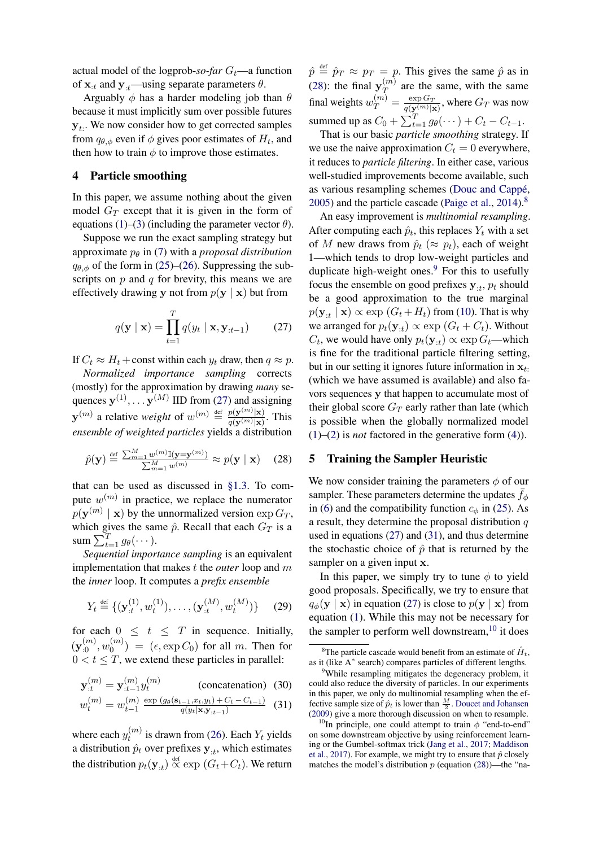actual model of the logprob- $so$ -far  $G_t$ —a function of  $\mathbf{x}_{:t}$  and  $\mathbf{y}_{:t}$ —using separate parameters  $\theta$ .

Arguably  $\phi$  has a harder modeling job than  $\theta$ because it must implicitly sum over possible futures  $y_t$ . We now consider how to get corrected samples from  $q_{\theta, \phi}$  even if  $\phi$  gives poor estimates of  $H_t$ , and then how to train  $\phi$  to improve those estimates.

### <span id="page-5-0"></span>4 Particle smoothing

In this paper, we assume nothing about the given model  $G_T$  except that it is given in the form of equations [\(1\)](#page-0-1)–[\(3\)](#page-0-4) (including the parameter vector  $\theta$ ).

Suppose we run the exact sampling strategy but approximate  $p_\theta$  in [\(7\)](#page-1-5) with a *proposal distribution*  $q_{\theta,\phi}$  of the form in [\(25\)](#page-4-0)–[\(26\)](#page-4-1). Suppressing the subscripts on  $p$  and  $q$  for brevity, this means we are effectively drawing y not from  $p(y | x)$  but from

$$
q(\mathbf{y} \mid \mathbf{x}) = \prod_{t=1}^{T} q(y_t \mid \mathbf{x}, \mathbf{y}_{:t-1})
$$
 (27)

If  $C_t \approx H_t + \text{const}$  within each  $y_t$  draw, then  $q \approx p$ .

*Normalized importance sampling* corrects (mostly) for the approximation by drawing *many* sequences  $y^{(1)}, \dots y^{(M)}$  IID from [\(27\)](#page-5-1) and assigning  $\mathbf{y}^{(m)}$  a relative *weight* of  $w^{(m)} \stackrel{\text{def}}{=} \frac{p(\mathbf{y}^{(m)}|\mathbf{x})}{q(\mathbf{y}^{(m)}|\mathbf{x})}$  $\frac{p(\mathbf{y}^{(m)}|\mathbf{x})}{q(\mathbf{y}^{(m)}|\mathbf{x})}$ . This *ensemble of weighted particles* yields a distribution

$$
\hat{p}(\mathbf{y}) \stackrel{\text{def}}{=} \frac{\sum_{m=1}^{M} w^{(m)} \mathbb{I}(\mathbf{y} = \mathbf{y}^{(m)})}{\sum_{m=1}^{M} w^{(m)}} \approx p(\mathbf{y} \mid \mathbf{x}) \quad (28)
$$

that can be used as discussed in [§1.3.](#page-1-10) To compute  $w^{(m)}$  in practice, we replace the numerator  $p(\mathbf{y}^{(m)} \mid \mathbf{x})$  by the unnormalized version  $\exp G_T$ , which gives the same  $\hat{p}$ . Recall that each  $G_T$  is a sum  $\sum_{t=1}^{T} g_{\theta}(\cdots)$ .

*Sequential importance sampling* is an equivalent implementation that makes t the *outer* loop and m the *inner* loop. It computes a *prefix ensemble*

$$
Y_t \stackrel{\text{def}}{=} \{ (\mathbf{y}_{:t}^{(1)}, w_t^{(1)}), \dots, (\mathbf{y}_{:t}^{(M)}, w_t^{(M)}) \} \qquad (29)
$$

for each  $0 \leq t \leq T$  in sequence. Initially,  $(\mathbf{y}_{:0}^{(m)}, w_0^{(m)})$  $\binom{m}{0}$  =  $(\epsilon, \exp C_0)$  for all m. Then for  $0 < t \leq T$ , we extend these particles in parallel:

$$
\mathbf{y}_{:t}^{(m)} = \mathbf{y}_{:t-1}^{(m)} y_t^{(m)}
$$
 (concatenation) (30)

$$
w_t^{(m)} = w_{t-1}^{(m)} \frac{\exp\left(g_\theta(s_{t-1}, x_t, y_t) + C_t - C_{t-1}\right)}{q(y_t|\mathbf{x}, \mathbf{y}_{t-1})} \tag{31}
$$

where each  $y_t^{(m)}$  $t_t^{(m)}$  is drawn from [\(26\)](#page-4-1). Each  $Y_t$  yields a distribution  $\hat{p}_t$  over prefixes  $\mathbf{y}_{:t}$ , which estimates the distribution  $p_t(\mathbf{y}_{:t}) \overset{\text{def}}{\propto} \exp(G_t + C_t)$ . We return

 $\hat{p} \stackrel{\text{def}}{=} \hat{p}_T \approx p_T = p$ . This gives the same  $\hat{p}$  as in [\(28\)](#page-5-2): the final  $y_T^{(m)}$  $T^{(m)}$  are the same, with the same final weights  $w_T^{(m)} = \frac{\exp G_T}{q(\mathbf{v}^{(m)})_2}$  $\frac{\exp G_T}{q(\mathbf{y}^{(m)}|\mathbf{x})}$ , where  $G_T$  was now summed up as  $C_0 + \sum_{t=1}^T g_\theta(\cdots) + C_t - C_{t-1}$ .

That is our basic *particle smoothing* strategy. If we use the naive approximation  $C_t = 0$  everywhere, it reduces to *particle filtering*. In either case, various well-studied improvements become available, such as various resampling schemes [\(Douc and Cappé,](#page-9-14) [2005\)](#page-9-14) and the particle cascade [\(Paige et al.,](#page-10-7) [2014\)](#page-10-7).[8](#page-5-3)

<span id="page-5-1"></span>An easy improvement is *multinomial resampling*. After computing each  $\hat{p}_t$ , this replaces  $Y_t$  with a set of M new draws from  $\hat{p}_t$  ( $\approx p_t$ ), each of weight 1—which tends to drop low-weight particles and duplicate high-weight ones. $9$  For this to usefully focus the ensemble on good prefixes  $y_{:t}$ ,  $p_t$  should be a good approximation to the true marginal  $p(\mathbf{y}_{:t} | \mathbf{x}) \propto \exp(G_t + H_t)$  from [\(10\)](#page-1-7). That is why we arranged for  $p_t(\mathbf{y}_{:t}) \propto \exp(G_t + C_t)$ . Without  $C_t$ , we would have only  $p_t(\mathbf{y}_{:t}) \propto \exp G_t$ —which is fine for the traditional particle filtering setting, but in our setting it ignores future information in  $x_t$ . (which we have assumed is available) and also favors sequences y that happen to accumulate most of their global score  $G_T$  early rather than late (which is possible when the globally normalized model [\(1\)](#page-0-1)–[\(2\)](#page-0-3) is *not* factored in the generative form [\(4\)](#page-1-0)).

### <span id="page-5-7"></span><span id="page-5-2"></span>5 Training the Sampler Heuristic

We now consider training the parameters  $\phi$  of our sampler. These parameters determine the updates  $f_{\phi}$ in [\(6\)](#page-1-3) and the compatibility function  $c_{\phi}$  in [\(25\)](#page-4-0). As a result, they determine the proposal distribution  $q$ used in equations [\(27\)](#page-5-1) and [\(31\)](#page-5-5), and thus determine the stochastic choice of  $\hat{p}$  that is returned by the sampler on a given input x.

In this paper, we simply try to tune  $\phi$  to yield good proposals. Specifically, we try to ensure that  $q_{\phi}(\mathbf{y} \mid \mathbf{x})$  in equation [\(27\)](#page-5-1) is close to  $p(\mathbf{y} \mid \mathbf{x})$  from equation [\(1\)](#page-0-1). While this may not be necessary for the sampler to perform well downstream,<sup>[10](#page-5-6)</sup> it does

<span id="page-5-3"></span><sup>&</sup>lt;sup>8</sup>The particle cascade would benefit from an estimate of  $\hat{H}_t$ , as it (like A<sup>∗</sup> search) compares particles of different lengths.

<span id="page-5-5"></span><span id="page-5-4"></span><sup>&</sup>lt;sup>9</sup>While resampling mitigates the degeneracy problem, it could also reduce the diversity of particles. In our experiments in this paper, we only do multinomial resampling when the effective sample size of  $\hat{p}_t$  is lower than  $\frac{M}{2}$ . [Doucet and Johansen](#page-9-2) [\(2009\)](#page-9-2) give a more thorough discussion on when to resample.

<span id="page-5-6"></span><sup>&</sup>lt;sup>10</sup>In principle, one could attempt to train  $\phi$  "end-to-end" on some downstream objective by using reinforcement learning or the Gumbel-softmax trick [\(Jang et al.,](#page-9-15) [2017;](#page-9-15) [Maddison](#page-10-8) [et al.,](#page-10-8) [2017\)](#page-10-8). For example, we might try to ensure that  $\hat{p}$  closely matches the model's distribution  $p$  (equation [\(28\)](#page-5-2))—the "na-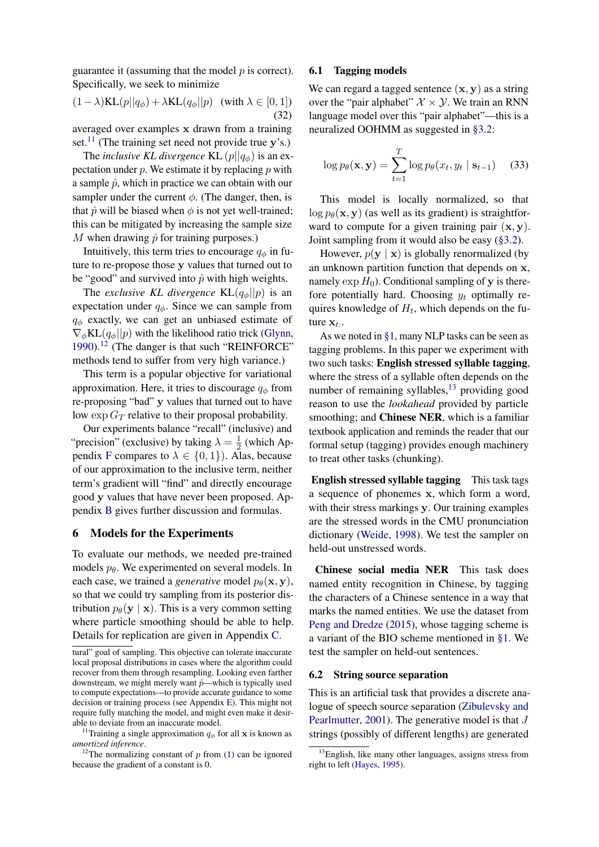guarantee it (assuming that the model  $p$  is correct). Specifically, we seek to minimize

$$
(1 - \lambda)\text{KL}(p||q_{\phi}) + \lambda \text{KL}(q_{\phi}||p) \quad (\text{with } \lambda \in [0, 1])
$$
\n(32)

averaged over examples x drawn from a training set.<sup>[11](#page-6-0)</sup> (The training set need not provide true y's.)

The *inclusive KL divergence* KL  $(p||q_{\phi})$  is an expectation under  $p$ . We estimate it by replacing  $p$  with a sample  $\hat{p}$ , which in practice we can obtain with our sampler under the current  $\phi$ . (The danger, then, is that  $\hat{p}$  will be biased when  $\phi$  is not yet well-trained; this can be mitigated by increasing the sample size M when drawing  $\hat{p}$  for training purposes.)

Intuitively, this term tries to encourage  $q_{\phi}$  in future to re-propose those y values that turned out to be "good" and survived into  $\hat{p}$  with high weights.

The *exclusive KL divergence*  $KL(q_{\phi}||p)$  is an expectation under  $q_{\phi}$ . Since we can sample from  $q_{\phi}$  exactly, we can get an unbiased estimate of  $\nabla_{\phi}$ KL $(q_{\phi}||p)$  with the likelihood ratio trick [\(Glynn,](#page-9-16) [1990\)](#page-9-16).[12](#page-6-1) (The danger is that such "REINFORCE" methods tend to suffer from very high variance.)

This term is a popular objective for variational approximation. Here, it tries to discourage  $q_{\phi}$  from re-proposing "bad" y values that turned out to have low  $\exp G_T$  relative to their proposal probability.

Our experiments balance "recall" (inclusive) and "precision" (exclusive) by taking  $\lambda = \frac{1}{2}$  $rac{1}{2}$  (which Ap-pendix [F](#page-14-0) compares to  $\lambda \in \{0,1\}$ . Alas, because of our approximation to the inclusive term, neither term's gradient will "find" and directly encourage good y values that have never been proposed. Appendix [B](#page-11-2) gives further discussion and formulas.

### <span id="page-6-5"></span>6 Models for the Experiments

To evaluate our methods, we needed pre-trained models  $p_{\theta}$ . We experimented on several models. In each case, we trained a *generative* model  $p_{\theta}(\mathbf{x}, \mathbf{y})$ , so that we could try sampling from its posterior distribution  $p_{\theta}(\mathbf{y} \mid \mathbf{x})$ . This is a very common setting where particle smoothing should be able to help. Details for replication are given in Appendix [C.](#page-12-0)

### <span id="page-6-3"></span>6.1 Tagging models

We can regard a tagged sentence  $(x, y)$  as a string over the "pair alphabet"  $X \times Y$ . We train an RNN language model over this "pair alphabet"—this is a neuralized OOHMM as suggested in [§3.2:](#page-4-4)

$$
\log p_{\theta}(\mathbf{x}, \mathbf{y}) = \sum_{t=1}^{T} \log p_{\theta}(x_t, y_t \mid \mathbf{s}_{t-1}) \quad (33)
$$

This model is locally normalized, so that  $\log p_{\theta}(\mathbf{x}, \mathbf{y})$  (as well as its gradient) is straightforward to compute for a given training pair  $(x, y)$ . Joint sampling from it would also be easy [\(§3.2\)](#page-4-4).

However,  $p(y | x)$  is globally renormalized (by an unknown partition function that depends on x, namely  $\exp H_0$ ). Conditional sampling of y is therefore potentially hard. Choosing  $y_t$  optimally requires knowledge of  $H_t$ , which depends on the future  $\mathbf{x}_t$ .

As we noted in [§1,](#page-0-5) many NLP tasks can be seen as tagging problems. In this paper we experiment with two such tasks: English stressed syllable tagging, where the stress of a syllable often depends on the number of remaining syllables, $^{13}$  $^{13}$  $^{13}$  providing good reason to use the *lookahead* provided by particle smoothing; and Chinese NER, which is a familiar textbook application and reminds the reader that our formal setup (tagging) provides enough machinery to treat other tasks (chunking).

English stressed syllable tagging This task tags a sequence of phonemes x, which form a word, with their stress markings y. Our training examples are the stressed words in the CMU pronunciation dictionary [\(Weide,](#page-10-9) [1998\)](#page-10-9). We test the sampler on held-out unstressed words.

Chinese social media NER This task does named entity recognition in Chinese, by tagging the characters of a Chinese sentence in a way that marks the named entities. We use the dataset from [Peng and Dredze](#page-10-10) [\(2015\)](#page-10-10), whose tagging scheme is a variant of the BIO scheme mentioned in [§1.](#page-0-5) We test the sampler on held-out sentences.

### <span id="page-6-4"></span>6.2 String source separation

This is an artificial task that provides a discrete analogue of speech source separation [\(Zibulevsky and](#page-10-11) [Pearlmutter,](#page-10-11) [2001\)](#page-10-11). The generative model is that J strings (possibly of different lengths) are generated

tural" goal of sampling. This objective can tolerate inaccurate local proposal distributions in cases where the algorithm could recover from them through resampling. Looking even farther downstream, we might merely want  $\hat{p}$ —which is typically used to compute expectations—to provide accurate guidance to some decision or training process (see Appendix [E\)](#page-13-0). This might not require fully matching the model, and might even make it desirable to deviate from an inaccurate model.

<span id="page-6-0"></span><sup>&</sup>lt;sup>11</sup>Training a single approximation  $q_{\phi}$  for all **x** is known as *amortized inference*.

<span id="page-6-1"></span><sup>&</sup>lt;sup>12</sup>The normalizing constant of p from [\(1\)](#page-0-1) can be ignored because the gradient of a constant is 0.

<span id="page-6-2"></span><sup>&</sup>lt;sup>13</sup>English, like many other languages, assigns stress from right to left [\(Hayes,](#page-9-17) [1995\)](#page-9-17).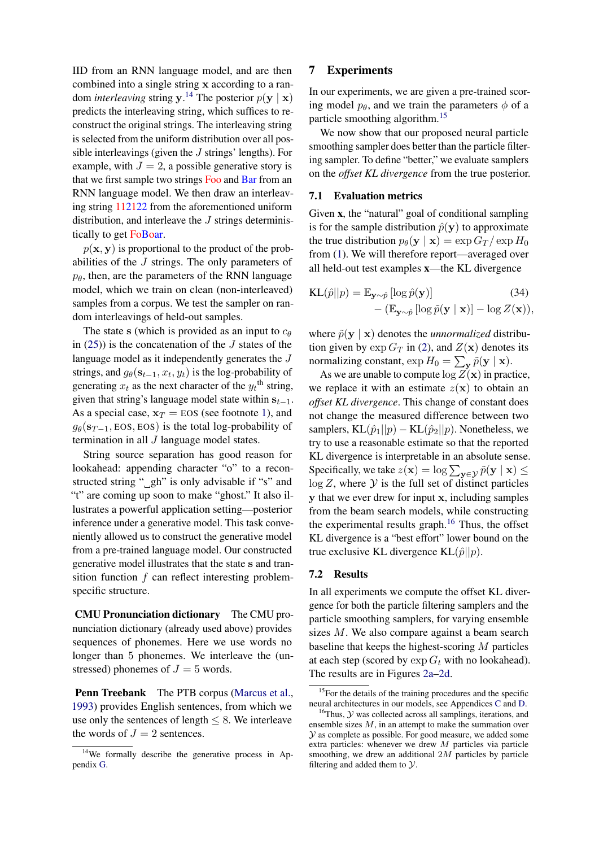IID from an RNN language model, and are then combined into a single string x according to a random *interleaving* string  $y$ .<sup>[14](#page-7-0)</sup> The posterior  $p(y | x)$ predicts the interleaving string, which suffices to reconstruct the original strings. The interleaving string is selected from the uniform distribution over all possible interleavings (given the  $J$  strings' lengths). For example, with  $J = 2$ , a possible generative story is that we first sample two strings Foo and Bar from an RNN language model. We then draw an interleaving string 112122 from the aforementioned uniform distribution, and interleave the J strings deterministically to get FoBoar.

 $p(\mathbf{x}, \mathbf{y})$  is proportional to the product of the probabilities of the J strings. The only parameters of  $p_{\theta}$ , then, are the parameters of the RNN language model, which we train on clean (non-interleaved) samples from a corpus. We test the sampler on random interleavings of held-out samples.

The state s (which is provided as an input to  $c_{\theta}$ in  $(25)$ ) is the concatenation of the J states of the language model as it independently generates the J strings, and  $g_{\theta}(\mathbf{s}_{t-1}, x_t, y_t)$  is the log-probability of generating  $x_t$  as the next character of the  $y_t$ <sup>th</sup> string, given that string's language model state within  $s_{t-1}$ . As a special case,  $x_T = EOS$  (see footnote [1\)](#page-0-0), and  $g_{\theta}(s_{T-1}, \text{EOS}, \text{EOS})$  is the total log-probability of termination in all J language model states.

String source separation has good reason for lookahead: appending character "o" to a reconstructed string " gh" is only advisable if "s" and "t" are coming up soon to make "ghost." It also illustrates a powerful application setting—posterior inference under a generative model. This task conveniently allowed us to construct the generative model from a pre-trained language model. Our constructed generative model illustrates that the state s and transition function  $f$  can reflect interesting problemspecific structure.

CMU Pronunciation dictionary The CMU pronunciation dictionary (already used above) provides sequences of phonemes. Here we use words no longer than 5 phonemes. We interleave the (unstressed) phonemes of  $J = 5$  words.

Penn Treebank The PTB corpus [\(Marcus et al.,](#page-10-12) [1993\)](#page-10-12) provides English sentences, from which we use only the sentences of length  $\leq 8$ . We interleave the words of  $J = 2$  sentences.

### 7 Experiments

In our experiments, we are given a pre-trained scoring model  $p_{\theta}$ , and we train the parameters  $\phi$  of a particle smoothing algorithm.[15](#page-7-1)

We now show that our proposed neural particle smoothing sampler does better than the particle filtering sampler. To define "better," we evaluate samplers on the *offset KL divergence* from the true posterior.

### <span id="page-7-3"></span>7.1 Evaluation metrics

Given x, the "natural" goal of conditional sampling is for the sample distribution  $\hat{p}(\mathbf{y})$  to approximate the true distribution  $p_{\theta}(\mathbf{y} | \mathbf{x}) = \exp G_T / \exp H_0$ from [\(1\)](#page-0-1). We will therefore report—averaged over all held-out test examples x—the KL divergence

KL(
$$
\hat{p}||p
$$
) =  $\mathbb{E}_{\mathbf{y} \sim \hat{p}} [\log \hat{p}(\mathbf{y})]$  (34)  
– ( $\mathbb{E}_{\mathbf{y} \sim \hat{p}} [\log \tilde{p}(\mathbf{y} | \mathbf{x})] - \log Z(\mathbf{x})$ ),

where  $\tilde{p}(\mathbf{y} \mid \mathbf{x})$  denotes the *unnormalized* distribution given by  $\exp G_T$  in [\(2\)](#page-0-3), and  $Z(\mathbf{x})$  denotes its normalizing constant,  $\exp H_0 = \sum_{\mathbf{y}} \tilde{p}(\mathbf{y} \mid \mathbf{x}).$ 

As we are unable to compute  $\log Z(\mathbf{x})$  in practice, we replace it with an estimate  $z(\mathbf{x})$  to obtain an *offset KL divergence*. This change of constant does not change the measured difference between two samplers, KL $(\hat{p}_1||p) -$ KL $(\hat{p}_2||p)$ . Nonetheless, we try to use a reasonable estimate so that the reported KL divergence is interpretable in an absolute sense. Specifically, we take  $z(\mathbf{x}) = \log \sum_{\mathbf{y} \in \mathcal{Y}} \tilde{p}(\mathbf{y} \mid \mathbf{x}) \leq$  $log Z$ , where  $Y$  is the full set of distinct particles y that we ever drew for input x, including samples from the beam search models, while constructing the experimental results graph.<sup>[16](#page-7-2)</sup> Thus, the offset KL divergence is a "best effort" lower bound on the true exclusive KL divergence KL $(\hat{p}||p)$ .

### 7.2 Results

In all experiments we compute the offset KL divergence for both the particle filtering samplers and the particle smoothing samplers, for varying ensemble sizes M. We also compare against a beam search baseline that keeps the highest-scoring M particles at each step (scored by  $\exp G_t$  with no lookahead). The results are in Figures [2a–2d.](#page-8-0)

<span id="page-7-0"></span> $14$ We formally describe the generative process in Appendix [G.](#page-14-1)

<span id="page-7-1"></span><sup>&</sup>lt;sup>15</sup>For the details of the training procedures and the specific neural architectures in our models, see Appendices [C](#page-12-0) and [D.](#page-12-1)

<span id="page-7-2"></span> $16$ Thus,  $\mathcal Y$  was collected across all samplings, iterations, and ensemble sizes  $M$ , in an attempt to make the summation over  $Y$  as complete as possible. For good measure, we added some extra particles: whenever we drew M particles via particle smoothing, we drew an additional  $2M$  particles by particle filtering and added them to  $\mathcal{Y}$ .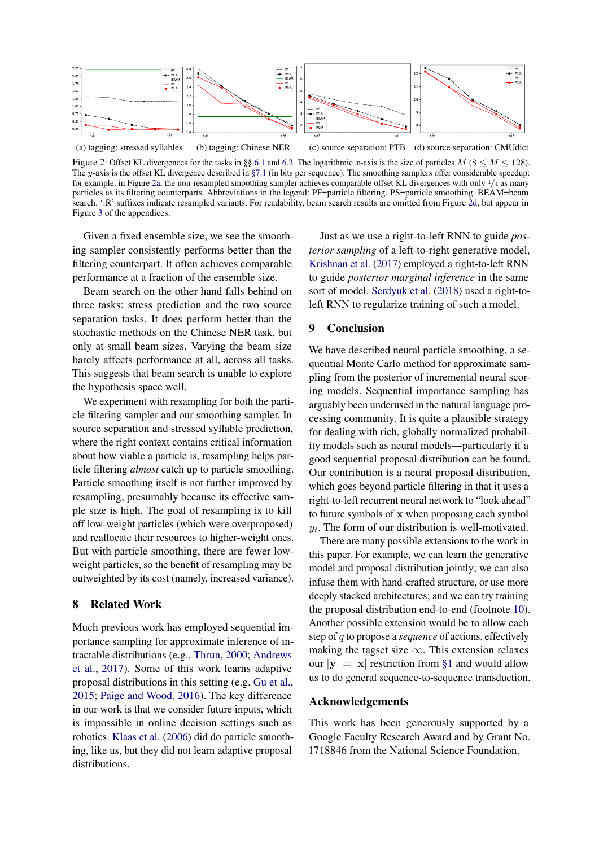<span id="page-8-0"></span>

(a) tagging: stressed syllables (b) tagging: Chinese NER (c) source separation: PTB (d) source separation: CMUdict

Figure 2: Offset KL divergences for the tasks in §§ [6.1](#page-6-3) and [6.2.](#page-6-4) The logarithmic x-axis is the size of particles  $M$  (8  $\leq M \leq$  128). The y-axis is the offset KL divergence described in [§7.1](#page-7-3) (in bits per sequence). The smoothing samplers offer considerable speedup: for example, in Figure [2a,](#page-8-0) the non-resampled smoothing sampler achieves comparable offset KL divergences with only  $\frac{1}{4}$  as many particles as its filtering counterparts. Abbreviations in the legend: PF=particle filtering. PS=particle smoothing. BEAM=beam search. ':R' suffixes indicate resampled variants. For readability, beam search results are omitted from Figure [2d,](#page-8-0) but appear in Figure [3](#page-12-2) of the appendices.

Given a fixed ensemble size, we see the smoothing sampler consistently performs better than the filtering counterpart. It often achieves comparable performance at a fraction of the ensemble size.

Beam search on the other hand falls behind on three tasks: stress prediction and the two source separation tasks. It does perform better than the stochastic methods on the Chinese NER task, but only at small beam sizes. Varying the beam size barely affects performance at all, across all tasks. This suggests that beam search is unable to explore the hypothesis space well.

We experiment with resampling for both the particle filtering sampler and our smoothing sampler. In source separation and stressed syllable prediction, where the right context contains critical information about how viable a particle is, resampling helps particle filtering *almost* catch up to particle smoothing. Particle smoothing itself is not further improved by resampling, presumably because its effective sample size is high. The goal of resampling is to kill off low-weight particles (which were overproposed) and reallocate their resources to higher-weight ones. But with particle smoothing, there are fewer lowweight particles, so the benefit of resampling may be outweighted by its cost (namely, increased variance).

### 8 Related Work

Much previous work has employed sequential importance sampling for approximate inference of intractable distributions (e.g., [Thrun,](#page-10-13) [2000;](#page-10-13) [Andrews](#page-9-18) [et al.,](#page-9-18) [2017\)](#page-9-18). Some of this work learns adaptive proposal distributions in this setting (e.g. [Gu et al.,](#page-9-19) [2015;](#page-9-19) [Paige and Wood,](#page-10-14) [2016\)](#page-10-14). The key difference in our work is that we consider future inputs, which is impossible in online decision settings such as robotics. [Klaas et al.](#page-9-20) [\(2006\)](#page-9-20) did do particle smoothing, like us, but they did not learn adaptive proposal distributions.

Just as we use a right-to-left RNN to guide *posterior sampling* of a left-to-right generative model, [Krishnan et al.](#page-9-21) [\(2017\)](#page-9-21) employed a right-to-left RNN to guide *posterior marginal inference* in the same sort of model. [Serdyuk et al.](#page-10-15) [\(2018\)](#page-10-15) used a right-toleft RNN to regularize training of such a model.

# 9 Conclusion

We have described neural particle smoothing, a sequential Monte Carlo method for approximate sampling from the posterior of incremental neural scoring models. Sequential importance sampling has arguably been underused in the natural language processing community. It is quite a plausible strategy for dealing with rich, globally normalized probability models such as neural models—particularly if a good sequential proposal distribution can be found. Our contribution is a neural proposal distribution, which goes beyond particle filtering in that it uses a right-to-left recurrent neural network to "look ahead" to future symbols of x when proposing each symbol  $y_t$ . The form of our distribution is well-motivated.

There are many possible extensions to the work in this paper. For example, we can learn the generative model and proposal distribution jointly; we can also infuse them with hand-crafted structure, or use more deeply stacked architectures; and we can try training the proposal distribution end-to-end (footnote [10\)](#page-5-6). Another possible extension would be to allow each step of q to propose a *sequence* of actions, effectively making the tagset size  $\infty$ . This extension relaxes our  $|y| = |x|$  restriction from [§1](#page-0-5) and would allow us to do general sequence-to-sequence transduction.

### Acknowledgements

This work has been generously supported by a Google Faculty Research Award and by Grant No. 1718846 from the National Science Foundation.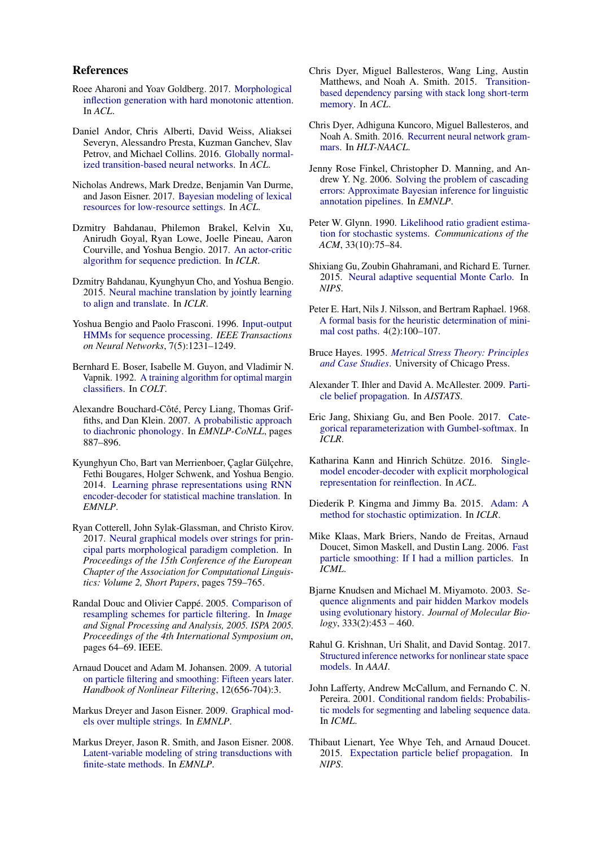#### References

- <span id="page-9-9"></span>Roee Aharoni and Yoav Goldberg. 2017. [Morphological](http://aclweb.org/anthology/P17-1183) [inflection generation with hard monotonic attention.](http://aclweb.org/anthology/P17-1183) In *ACL*.
- <span id="page-9-12"></span>Daniel Andor, Chris Alberti, David Weiss, Aliaksei Severyn, Alessandro Presta, Kuzman Ganchev, Slav Petrov, and Michael Collins. 2016. [Globally normal](http://www.aclweb.org/anthology/P16-1231)[ized transition-based neural networks.](http://www.aclweb.org/anthology/P16-1231) In *ACL*.
- <span id="page-9-18"></span>Nicholas Andrews, Mark Dredze, Benjamin Van Durme, and Jason Eisner. 2017. [Bayesian modeling of lexical](http://cs.jhu.edu/~jason/papers/#andrews-et-al-2017) [resources for low-resource settings.](http://cs.jhu.edu/~jason/papers/#andrews-et-al-2017) In *ACL*.
- <span id="page-9-3"></span>Dzmitry Bahdanau, Philemon Brakel, Kelvin Xu, Anirudh Goyal, Ryan Lowe, Joelle Pineau, Aaron Courville, and Yoshua Bengio. 2017. [An actor-critic](https://arxiv.org/abs/1607.07086) [algorithm for sequence prediction.](https://arxiv.org/abs/1607.07086) In *ICLR*.
- <span id="page-9-10"></span>Dzmitry Bahdanau, Kyunghyun Cho, and Yoshua Bengio. 2015. [Neural machine translation by jointly learning](https://arxiv.org/abs/1409.0473) [to align and translate.](https://arxiv.org/abs/1409.0473) In *ICLR*.
- <span id="page-9-6"></span>Yoshua Bengio and Paolo Frasconi. 1996. [Input-output](http://ieeexplore.ieee.org/document/536317/) [HMMs for sequence processing.](http://ieeexplore.ieee.org/document/536317/) *IEEE Transactions on Neural Networks*, 7(5):1231–1249.
- <span id="page-9-8"></span>Bernhard E. Boser, Isabelle M. Guyon, and Vladimir N. Vapnik. 1992. [A training algorithm for optimal margin](http://citeseerx.ist.psu.edu/viewdoc/summary?doi=10.1.1.21.3818) [classifiers.](http://citeseerx.ist.psu.edu/viewdoc/summary?doi=10.1.1.21.3818) In *COLT*.
- <span id="page-9-25"></span>Alexandre Bouchard-Côté, Percy Liang, Thomas Griffiths, and Dan Klein. 2007. [A probabilistic approach](http://www.aclweb.org/anthology/D/D07/D07-1093) [to diachronic phonology.](http://www.aclweb.org/anthology/D/D07/D07-1093) In *EMNLP-CoNLL*, pages 887–896.
- <span id="page-9-22"></span>Kyunghyun Cho, Bart van Merrienboer, Çaglar Gülçehre, Fethi Bougares, Holger Schwenk, and Yoshua Bengio. 2014. [Learning phrase representations using RNN](https://arxiv.org/abs/1406.1078) [encoder-decoder for statistical machine translation.](https://arxiv.org/abs/1406.1078) In *EMNLP*.
- <span id="page-9-27"></span>Ryan Cotterell, John Sylak-Glassman, and Christo Kirov. 2017. [Neural graphical models over strings for prin](http://aclweb.org/anthology/E17-2120)[cipal parts morphological paradigm completion.](http://aclweb.org/anthology/E17-2120) In *Proceedings of the 15th Conference of the European Chapter of the Association for Computational Linguistics: Volume 2, Short Papers*, pages 759–765.
- <span id="page-9-14"></span>Randal Douc and Olivier Cappé. 2005. [Comparison of](https://arxiv.org/abs/cs/0507025) [resampling schemes for particle filtering.](https://arxiv.org/abs/cs/0507025) In *Image and Signal Processing and Analysis, 2005. ISPA 2005. Proceedings of the 4th International Symposium on*, pages 64–69. IEEE.
- <span id="page-9-2"></span>Arnaud Doucet and Adam M. Johansen. 2009. [A tutorial](https://www.stats.ox.ac.uk/~doucet/doucet_johansen_tutorialPF2011.pdf) [on particle filtering and smoothing: Fifteen years later.](https://www.stats.ox.ac.uk/~doucet/doucet_johansen_tutorialPF2011.pdf) *Handbook of Nonlinear Filtering*, 12(656-704):3.
- <span id="page-9-26"></span>Markus Dreyer and Jason Eisner. 2009. [Graphical mod](http://cs.jhu.edu/~jason/papers/#dreyer-eisner-2009)[els over multiple strings.](http://cs.jhu.edu/~jason/papers/#dreyer-eisner-2009) In *EMNLP*.
- <span id="page-9-7"></span>Markus Dreyer, Jason R. Smith, and Jason Eisner. 2008. [Latent-variable modeling of string transductions with](http://cs.jhu.edu/~jason/papers/#dreyer-smith-eisner-2008) [finite-state methods.](http://cs.jhu.edu/~jason/papers/#dreyer-smith-eisner-2008) In *EMNLP*.
- <span id="page-9-11"></span>Chris Dyer, Miguel Ballesteros, Wang Ling, Austin Matthews, and Noah A. Smith. 2015. [Transition](http://www.aclweb.org/anthology/P15-1033)[based dependency parsing with stack long short-term](http://www.aclweb.org/anthology/P15-1033) [memory.](http://www.aclweb.org/anthology/P15-1033) In *ACL*.
- <span id="page-9-1"></span>Chris Dyer, Adhiguna Kuncoro, Miguel Ballesteros, and Noah A. Smith. 2016. [Recurrent neural network gram](https://aclweb.org/anthology/N16-1024)[mars.](https://aclweb.org/anthology/N16-1024) In *HLT-NAACL*.
- <span id="page-9-24"></span>Jenny Rose Finkel, Christopher D. Manning, and Andrew Y. Ng. 2006. [Solving the problem of cascading](http://dl.acm.org/citation.cfm?id=1610075.1610162) [errors: Approximate Bayesian inference for linguistic](http://dl.acm.org/citation.cfm?id=1610075.1610162) [annotation pipelines.](http://dl.acm.org/citation.cfm?id=1610075.1610162) In *EMNLP*.
- <span id="page-9-16"></span>Peter W. Glynn. 1990. [Likelihood ratio gradient estima](http://web.stanford.edu/~glynn/papers/1990/G90a.html)[tion for stochastic systems.](http://web.stanford.edu/~glynn/papers/1990/G90a.html) *Communications of the ACM*, 33(10):75–84.
- <span id="page-9-19"></span>Shixiang Gu, Zoubin Ghahramani, and Richard E. Turner. 2015. [Neural adaptive sequential Monte Carlo.](https://arxiv.org/abs/1506.03338) In *NIPS*.
- <span id="page-9-4"></span>Peter E. Hart, Nils J. Nilsson, and Bertram Raphael. 1968. [A formal basis for the heuristic determination of mini](http://ai.stanford.edu/~nilsson/OnlinePubs-Nils/PublishedPapers/astar.pdf)[mal cost paths.](http://ai.stanford.edu/~nilsson/OnlinePubs-Nils/PublishedPapers/astar.pdf) 4(2):100–107.
- <span id="page-9-17"></span>Bruce Hayes. 1995. *[Metrical Stress Theory: Principles](http://press.uchicago.edu/ucp/books/book/chicago/M/bo3621567.html) [and Case Studies](http://press.uchicago.edu/ucp/books/book/chicago/M/bo3621567.html)*. University of Chicago Press.
- <span id="page-9-28"></span>Alexander T. Ihler and David A. McAllester. 2009. [Parti](http://proceedings.mlr.press/v5/ihler09a.html)[cle belief propagation.](http://proceedings.mlr.press/v5/ihler09a.html) In *AISTATS*.
- <span id="page-9-15"></span>Eric Jang, Shixiang Gu, and Ben Poole. 2017. [Cate](https://arxiv.org/abs/1611.01144)[gorical reparameterization with Gumbel-softmax.](https://arxiv.org/abs/1611.01144) In *ICLR*.
- <span id="page-9-13"></span>Katharina Kann and Hinrich Schütze. 2016. [Single](http://www.aclweb.org/anthology/P16-2090)[model encoder-decoder with explicit morphological](http://www.aclweb.org/anthology/P16-2090) [representation for reinflection.](http://www.aclweb.org/anthology/P16-2090) In *ACL*.
- <span id="page-9-23"></span>Diederik P. Kingma and Jimmy Ba. 2015. [Adam: A](https://arxiv.org/abs/1412.6980) [method for stochastic optimization.](https://arxiv.org/abs/1412.6980) In *ICLR*.
- <span id="page-9-20"></span>Mike Klaas, Mark Briers, Nando de Freitas, Arnaud Doucet, Simon Maskell, and Dustin Lang. 2006. [Fast](http://www.cs.ubc.ca/~nando/papers/fasttwo.pdf) [particle smoothing: If I had a million particles.](http://www.cs.ubc.ca/~nando/papers/fasttwo.pdf) In *ICML*.
- <span id="page-9-5"></span>Bjarne Knudsen and Michael M. Miyamoto. 2003. [Se](https://doi.org/https://doi.org/10.1016/j.jmb.2003.08.015)[quence alignments and pair hidden Markov models](https://doi.org/https://doi.org/10.1016/j.jmb.2003.08.015) [using evolutionary history.](https://doi.org/https://doi.org/10.1016/j.jmb.2003.08.015) *Journal of Molecular Biology*, 333(2):453 – 460.
- <span id="page-9-21"></span>Rahul G. Krishnan, Uri Shalit, and David Sontag. 2017. [Structured inference networks for nonlinear state space](https://arxiv.org/abs/1609.09869) [models.](https://arxiv.org/abs/1609.09869) In *AAAI*.
- <span id="page-9-0"></span>John Lafferty, Andrew McCallum, and Fernando C. N. Pereira. 2001. [Conditional random fields: Probabilis](http://www.cs.cmu.edu/afs/cs.cmu.edu/user/mccallum/www/papers/crf-icml01.ps.gz)[tic models for segmenting and labeling sequence data.](http://www.cs.cmu.edu/afs/cs.cmu.edu/user/mccallum/www/papers/crf-icml01.ps.gz) In *ICML*.
- <span id="page-9-29"></span>Thibaut Lienart, Yee Whye Teh, and Arnaud Doucet. 2015. [Expectation particle belief propagation.](http://papers.nips.cc/paper/5674-expectation-particle-belief-propagation.pdf) In *NIPS*.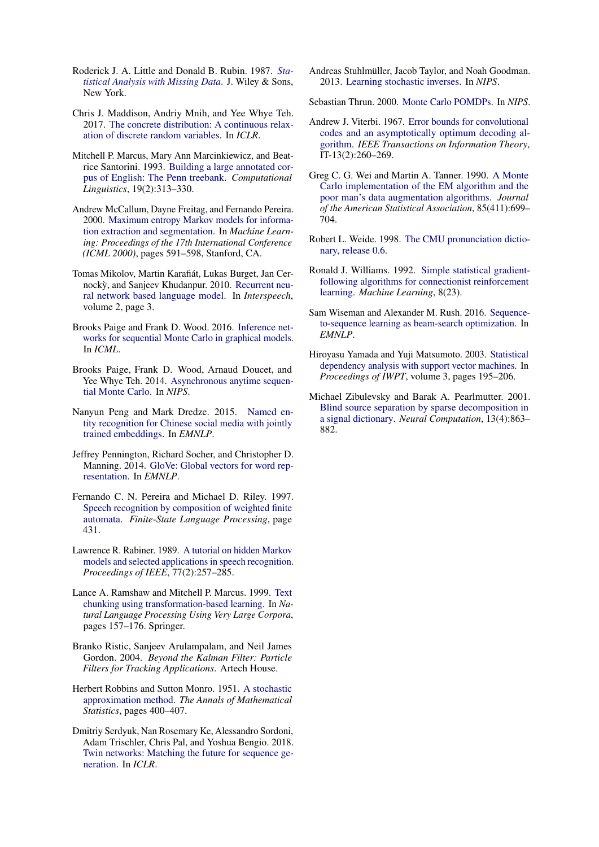- <span id="page-10-22"></span>Roderick J. A. Little and Donald B. Rubin. 1987. *[Sta](https://www.wiley.com/en-us/Statistical+Analysis+with+Missing+Data)[tistical Analysis with Missing Data](https://www.wiley.com/en-us/Statistical+Analysis+with+Missing+Data)*. J. Wiley & Sons, New York.
- <span id="page-10-8"></span>Chris J. Maddison, Andriy Mnih, and Yee Whye Teh. 2017. [The concrete distribution: A continuous relax](https://arxiv.org/abs/1611.00712)[ation of discrete random variables.](https://arxiv.org/abs/1611.00712) In *ICLR*.
- <span id="page-10-12"></span>Mitchell P. Marcus, Mary Ann Marcinkiewicz, and Beatrice Santorini. 1993. [Building a large annotated cor](http://dl.acm.org/citation.cfm?id=972470.972475)[pus of English: The Penn treebank.](http://dl.acm.org/citation.cfm?id=972470.972475) *Computational Linguistics*, 19(2):313–330.
- <span id="page-10-20"></span>Andrew McCallum, Dayne Freitag, and Fernando Pereira. 2000. [Maximum entropy Markov models for informa](http://www.cs.cmu.edu/~mccallum/papers/memm-icml2000.pdf)[tion extraction and segmentation.](http://www.cs.cmu.edu/~mccallum/papers/memm-icml2000.pdf) In *Machine Learning: Proceedings of the 17th International Conference (ICML 2000)*, pages 591–598, Stanford, CA.
- <span id="page-10-17"></span>Tomas Mikolov, Martin Karafiát, Lukas Burget, Jan Cer-nocky, and Sanjeev Khudanpur. 2010. [Recurrent neu](http://www.fit.vutbr.cz/research/groups/speech/publi/2010/mikolov_interspeech2010_IS100722.pdf)[ral network based language model.](http://www.fit.vutbr.cz/research/groups/speech/publi/2010/mikolov_interspeech2010_IS100722.pdf) In *Interspeech*, volume 2, page 3.
- <span id="page-10-14"></span>Brooks Paige and Frank D. Wood. 2016. [Inference net](https://arxiv.org/abs/1602.06701)[works for sequential Monte Carlo in graphical models.](https://arxiv.org/abs/1602.06701) In *ICML*.
- <span id="page-10-7"></span>Brooks Paige, Frank D. Wood, Arnaud Doucet, and Yee Whye Teh. 2014. [Asynchronous anytime sequen](http://proceedings.mlr.press/v48/paige16.pdf)[tial Monte Carlo.](http://proceedings.mlr.press/v48/paige16.pdf) In *NIPS*.
- <span id="page-10-10"></span>Nanyun Peng and Mark Dredze. 2015. [Named en](http://www.aclweb.org/anthology/D15-1064)[tity recognition for Chinese social media with jointly](http://www.aclweb.org/anthology/D15-1064) [trained embeddings.](http://www.aclweb.org/anthology/D15-1064) In *EMNLP*.
- <span id="page-10-18"></span>Jeffrey Pennington, Richard Socher, and Christopher D. Manning. 2014. [GloVe: Global vectors for word rep](http://www.aclweb.org/anthology/D14-1162)[resentation.](http://www.aclweb.org/anthology/D14-1162) In *EMNLP*.
- <span id="page-10-2"></span>Fernando C. N. Pereira and Michael D. Riley. 1997. [Speech recognition by composition of weighted finite](http://www.aclweb.org/anthology/D15-1064) [automata.](http://www.aclweb.org/anthology/D15-1064) *Finite-State Language Processing*, page 431.
- <span id="page-10-6"></span>Lawrence R. Rabiner. 1989. [A tutorial on hidden Markov](http://www.ece.ucsb.edu/Faculty/Rabiner/ece259/Reprints/tutorial%20on%20hmm%20and%20applications.pdf) [models and selected applications in speech recognition.](http://www.ece.ucsb.edu/Faculty/Rabiner/ece259/Reprints/tutorial%20on%20hmm%20and%20applications.pdf) *Proceedings of IEEE*, 77(2):257–285.
- <span id="page-10-0"></span>Lance A. Ramshaw and Mitchell P. Marcus. 1999. [Text](https://www.aclweb.org/anthology/W95-0107) [chunking using transformation-based learning.](https://www.aclweb.org/anthology/W95-0107) In *Natural Language Processing Using Very Large Corpora*, pages 157–176. Springer.
- <span id="page-10-4"></span>Branko Ristic, Sanjeev Arulampalam, and Neil James Gordon. 2004. *Beyond the Kalman Filter: Particle Filters for Tracking Applications*. Artech House.
- <span id="page-10-19"></span>Herbert Robbins and Sutton Monro. 1951. [A stochastic](https://www.jstor.org/stable/2236626) [approximation method.](https://www.jstor.org/stable/2236626) *The Annals of Mathematical Statistics*, pages 400–407.
- <span id="page-10-15"></span>Dmitriy Serdyuk, Nan Rosemary Ke, Alessandro Sordoni, Adam Trischler, Chris Pal, and Yoshua Bengio. 2018. [Twin networks: Matching the future for sequence ge](https://openreview.net/forum?id=BydLzGb0Z)[neration.](https://openreview.net/forum?id=BydLzGb0Z) In *ICLR*.

<span id="page-10-23"></span>Andreas Stuhlmüller, Jacob Taylor, and Noah Goodman. 2013. [Learning stochastic inverses.](http://papers.nips.cc/paper/4966-learning-stochastic-inverses.pdf) In *NIPS*.

<span id="page-10-13"></span>Sebastian Thrun. 2000. [Monte Carlo POMDPs.](https://papers.nips.cc/paper/1772-monte-carlo-pomdps.pdf) In *NIPS*.

- <span id="page-10-5"></span>Andrew J. Viterbi. 1967. [Error bounds for convolutional](https://ieeexplore.ieee.org/iel5/18/22634/01054010.pdf) [codes and an asymptotically optimum decoding al](https://ieeexplore.ieee.org/iel5/18/22634/01054010.pdf)[gorithm.](https://ieeexplore.ieee.org/iel5/18/22634/01054010.pdf) *IEEE Transactions on Information Theory*, IT-13(2):260–269.
- <span id="page-10-21"></span>Greg C. G. Wei and Martin A. Tanner. 1990. [A Monte](http://www.jstor.org/stable/2290005) [Carlo implementation of the EM algorithm and the](http://www.jstor.org/stable/2290005) [poor man's data augmentation algorithms.](http://www.jstor.org/stable/2290005) *Journal of the American Statistical Association*, 85(411):699– 704.
- <span id="page-10-9"></span>Robert L. Weide. 1998. [The CMU pronunciation dictio](http://www.speech.cs.cmu.edu/cgi-bin/cmudict)[nary, release 0.6.](http://www.speech.cs.cmu.edu/cgi-bin/cmudict)
- <span id="page-10-16"></span>Ronald J. Williams. 1992. [Simple statistical gradient](https://dl.acm.org/citation.cfm?id=139614)[following algorithms for connectionist reinforcement](https://dl.acm.org/citation.cfm?id=139614) [learning.](https://dl.acm.org/citation.cfm?id=139614) *Machine Learning*, 8(23).
- <span id="page-10-3"></span>Sam Wiseman and Alexander M. Rush. 2016. [Sequence](https://aclweb.org/anthology/D16-1137)[to-sequence learning as beam-search optimization.](https://aclweb.org/anthology/D16-1137) In *EMNLP*.
- <span id="page-10-1"></span>Hiroyasu Yamada and Yuji Matsumoto. 2003. [Statistical](http://www.jaist.jp/~h-yamada/pdf/iwpt2003.pdf) [dependency analysis with support vector machines.](http://www.jaist.jp/~h-yamada/pdf/iwpt2003.pdf) In *Proceedings of IWPT*, volume 3, pages 195–206.
- <span id="page-10-11"></span>Michael Zibulevsky and Barak A. Pearlmutter. 2001. [Blind source separation by sparse decomposition in](https://ieeexplore.ieee.org/document/6790205) [a signal dictionary.](https://ieeexplore.ieee.org/document/6790205) *Neural Computation*, 13(4):863– 882.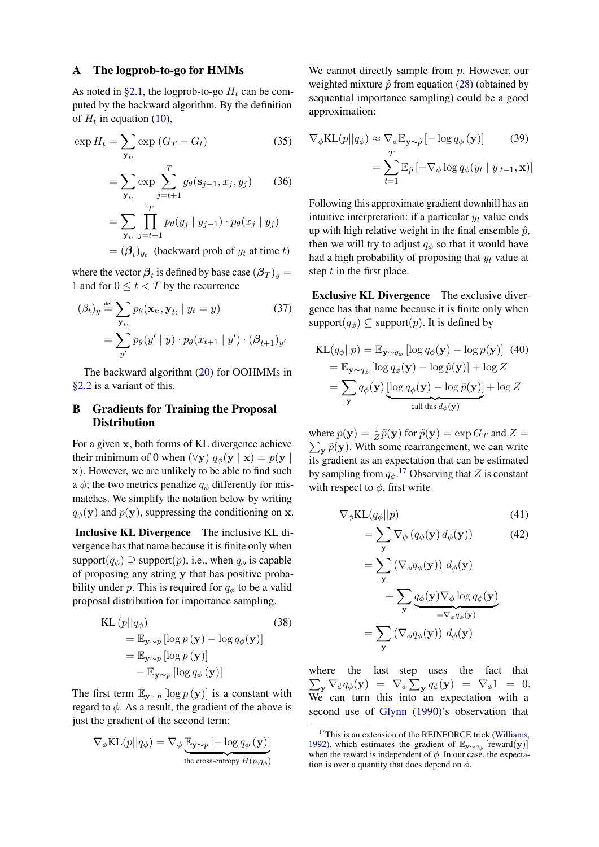#### <span id="page-11-0"></span>A The logprob-to-go for HMMs

As noted in [§2.1,](#page-2-6) the logprob-to-go  $H_t$  can be computed by the backward algorithm. By the definition of  $H_t$  in equation [\(10\)](#page-1-7),

$$
\exp H_t = \sum_{\mathbf{y}_{t:}} \exp (G_T - G_t)
$$
(35)  

$$
= \sum_{\mathbf{y}_{t:}} \exp \sum_{j=t+1}^T g_\theta(\mathbf{s}_{j-1}, x_j, y_j)
$$
(36)  

$$
= \sum_{\mathbf{y}_{t:}} \prod_{j=t+1}^T p_\theta(y_j | y_{j-1}) \cdot p_\theta(x_j | y_j)
$$
  

$$
= (\beta_t)_{y_t}
$$
(backward prob of  $y_t$  at time  $t$ )

where the vector  $\beta_t$  is defined by base case  $(\beta_T)_y =$ 1 and for  $0 \le t < T$  by the recurrence

$$
(\beta_t)_y \stackrel{\text{def}}{=} \sum_{\mathbf{y}_{t:}} p_\theta(\mathbf{x}_{t:}, \mathbf{y}_{t:} \mid y_t = y)
$$
(37)  

$$
= \sum_{y'} p_\theta(y' \mid y) \cdot p_\theta(x_{t+1} \mid y') \cdot (\beta_{t+1})_{y'}
$$

The backward algorithm [\(20\)](#page-3-2) for OOHMMs in [§2.2](#page-2-7) is a variant of this.

# <span id="page-11-2"></span>B Gradients for Training the Proposal **Distribution**

For a given x, both forms of KL divergence achieve their minimum of 0 when  $(\forall y) q_{\phi}(y | x) = p(y)$ x). However, we are unlikely to be able to find such a  $\phi$ ; the two metrics penalize  $q_{\phi}$  differently for mismatches. We simplify the notation below by writing  $q_{\phi}(\mathbf{y})$  and  $p(\mathbf{y})$ , suppressing the conditioning on x.

Inclusive KL Divergence The inclusive KL divergence has that name because it is finite only when support $(q_{\phi}) \supseteq \text{support}(p)$ , i.e., when  $q_{\phi}$  is capable of proposing any string y that has positive probability under p. This is required for  $q_{\phi}$  to be a valid proposal distribution for importance sampling.

KL 
$$
(p||q_{\phi})
$$
 (38)  
\n
$$
= \mathbb{E}_{\mathbf{y} \sim p} [\log p(\mathbf{y}) - \log q_{\phi}(\mathbf{y})]
$$
\n
$$
= \mathbb{E}_{\mathbf{y} \sim p} [\log p(\mathbf{y})]
$$
\n
$$
- \mathbb{E}_{\mathbf{y} \sim p} [\log q_{\phi}(\mathbf{y})]
$$

The first term  $\mathbb{E}_{\mathbf{y} \sim p} [\log p(\mathbf{y})]$  is a constant with regard to  $\phi$ . As a result, the gradient of the above is just the gradient of the second term:

$$
\nabla_{\phi} \text{KL}(p||q_{\phi}) = \nabla_{\phi} \underbrace{\mathbb{E}_{\mathbf{y} \sim p} \left[ -\log q_{\phi} \left( \mathbf{y} \right) \right]}_{\text{the cross-entropy } H(p, q_{\phi})}
$$

We cannot directly sample from p. However, our weighted mixture  $\hat{p}$  from equation [\(28\)](#page-5-2) (obtained by sequential importance sampling) could be a good approximation:

<span id="page-11-1"></span>
$$
\nabla_{\phi} \text{KL}(p||q_{\phi}) \approx \nabla_{\phi} \mathbb{E}_{\mathbf{y} \sim \hat{p}} \left[ -\log q_{\phi} \left( \mathbf{y} \right) \right]
$$
(39)  

$$
= \sum_{t=1}^{T} \mathbb{E}_{\hat{p}} \left[ -\nabla_{\phi} \log q_{\phi} \left( y_t \mid y_{:t-1}, \mathbf{x} \right) \right]
$$

Following this approximate gradient downhill has an intuitive interpretation: if a particular  $y_t$  value ends up with high relative weight in the final ensemble  $\hat{p}$ , then we will try to adjust  $q_{\phi}$  so that it would have had a high probability of proposing that  $y_t$  value at step  $t$  in the first place.

Exclusive KL Divergence The exclusive divergence has that name because it is finite only when support $(q_{\phi}) \subseteq$  support $(p)$ . It is defined by

$$
\begin{aligned} \text{KL}(q_{\phi}||p) &= \mathbb{E}_{\mathbf{y} \sim q_{\phi}} \left[ \log q_{\phi}(\mathbf{y}) - \log p(\mathbf{y}) \right] \tag{40} \\ &= \mathbb{E}_{\mathbf{y} \sim q_{\phi}} \left[ \log q_{\phi}(\mathbf{y}) - \log \tilde{p}(\mathbf{y}) \right] + \log Z \\ &= \sum_{\mathbf{y}} q_{\phi}(\mathbf{y}) \underbrace{\left[ \log q_{\phi}(\mathbf{y}) - \log \tilde{p}(\mathbf{y}) \right]}_{\text{call this } d_{\phi}(\mathbf{y})} + \log Z \end{aligned}
$$

where  $p(\mathbf{y}) = \frac{1}{Z}\tilde{p}(\mathbf{y})$  for  $\tilde{p}(\mathbf{y}) = \exp G_T$  and  $Z =$  $\sum_{\mathbf{y}} \tilde{p}(\mathbf{y})$ . With some rearrangement, we can write its gradient as an expectation that can be estimated by sampling from  $q_{\phi}$ .<sup>[17](#page-11-3)</sup> Observing that Z is constant with respect to  $\phi$ , first write

$$
\nabla_{\phi} \text{KL}(q_{\phi}||p) \tag{41}
$$

$$
= \sum_{\mathbf{y}} \nabla_{\phi} \left( q_{\phi}(\mathbf{y}) d_{\phi}(\mathbf{y}) \right) \tag{42}
$$

$$
= \sum_{\mathbf{y}} (\nabla_{\phi} q_{\phi}(\mathbf{y})) d_{\phi}(\mathbf{y})
$$
  
+ 
$$
\sum_{\mathbf{y}} \underbrace{q_{\phi}(\mathbf{y}) \nabla_{\phi} \log q_{\phi}(\mathbf{y})}_{= \nabla_{\phi} q_{\phi}(\mathbf{y})}
$$
  
= 
$$
\sum_{\mathbf{y}} (\nabla_{\phi} q_{\phi}(\mathbf{y})) d_{\phi}(\mathbf{y})
$$

where the last step uses the fact that  $\sum_{\mathbf{y}} \nabla_{\phi} q_{\phi}(\mathbf{y}) = \nabla_{\phi} \sum_{\mathbf{y}} q_{\phi}(\mathbf{y}) = \nabla_{\phi} 1 = 0.$ We can turn this into an expectation with a second use of [Glynn](#page-9-16) [\(1990\)](#page-9-16)'s observation that

<span id="page-11-3"></span><sup>&</sup>lt;sup>17</sup>This is an extension of the REINFORCE trick [\(Williams,](#page-10-16) [1992\)](#page-10-16), which estimates the gradient of  $\mathbb{E}_{y \sim q_{\phi}}$  [reward(y)] when the reward is independent of  $\phi$ . In our case, the expectation is over a quantity that does depend on  $\phi$ .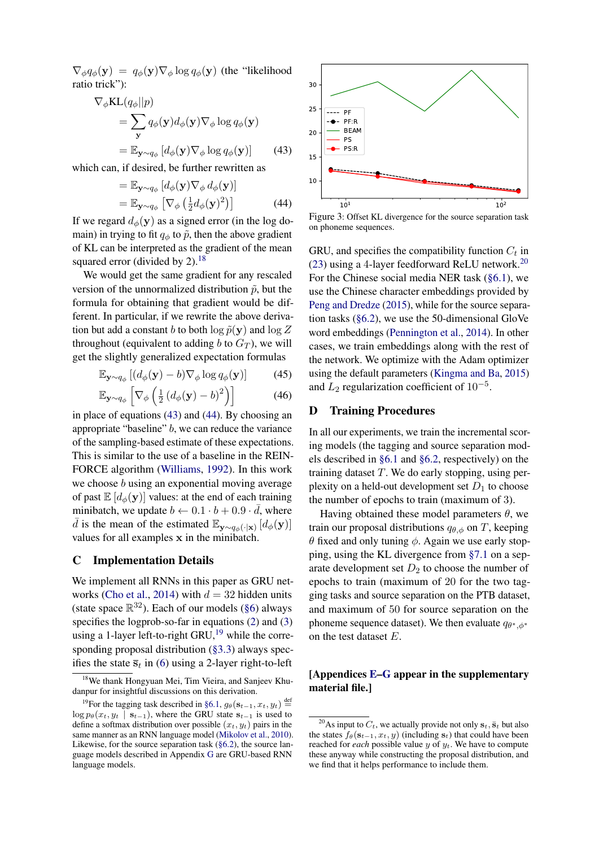$\nabla_{\phi} q_{\phi}(\mathbf{y}) = q_{\phi}(\mathbf{y}) \nabla_{\phi} \log q_{\phi}(\mathbf{y})$  (the "likelihood" ratio trick"):

$$
\nabla_{\phi} \text{KL}(q_{\phi}||p) \n= \sum_{\mathbf{y}} q_{\phi}(\mathbf{y}) d_{\phi}(\mathbf{y}) \nabla_{\phi} \log q_{\phi}(\mathbf{y}) \n= \mathbb{E}_{\mathbf{y} \sim q_{\phi}} [d_{\phi}(\mathbf{y}) \nabla_{\phi} \log q_{\phi}(\mathbf{y})]
$$
\n(43)

which can, if desired, be further rewritten as

$$
= \mathbb{E}_{\mathbf{y} \sim q_{\phi}} \left[ d_{\phi}(\mathbf{y}) \nabla_{\phi} d_{\phi}(\mathbf{y}) \right]
$$
  
=  $\mathbb{E}_{\mathbf{y} \sim q_{\phi}} \left[ \nabla_{\phi} \left( \frac{1}{2} d_{\phi}(\mathbf{y})^2 \right) \right]$  (44)

If we regard  $d_{\phi}(\mathbf{y})$  as a signed error (in the log domain) in trying to fit  $q_{\phi}$  to  $\tilde{p}$ , then the above gradient of KL can be interpreted as the gradient of the mean squared error (divided by 2).<sup>[18](#page-12-3)</sup>

We would get the same gradient for any rescaled version of the unnormalized distribution  $\tilde{p}$ , but the formula for obtaining that gradient would be different. In particular, if we rewrite the above derivation but add a constant b to both  $\log \tilde{p}(\mathbf{y})$  and  $\log Z$ throughout (equivalent to adding b to  $G_T$ ), we will get the slightly generalized expectation formulas

$$
\mathbb{E}_{\mathbf{y}\sim q_{\phi}}\left[ (d_{\phi}(\mathbf{y}) - b) \nabla_{\phi} \log q_{\phi}(\mathbf{y}) \right] \tag{45}
$$

$$
\mathbb{E}_{\mathbf{y} \sim q_{\phi}} \left[ \nabla_{\phi} \left( \frac{1}{2} \left( d_{\phi}(\mathbf{y}) - b \right)^2 \right) \right]
$$
 (46)

in place of equations [\(43\)](#page-12-4) and [\(44\)](#page-12-5). By choosing an appropriate "baseline" b, we can reduce the variance of the sampling-based estimate of these expectations. This is similar to the use of a baseline in the REIN-FORCE algorithm [\(Williams,](#page-10-16) [1992\)](#page-10-16). In this work we choose *b* using an exponential moving average of past  $\mathbb{E}[d_{\phi}(\mathbf{y})]$  values: at the end of each training minibatch, we update  $b \leftarrow 0.1 \cdot b + 0.9 \cdot \overline{d}$ , where  $\bar{d}$  is the mean of the estimated  $\mathbb{E}_{\mathbf{y} \sim q_{\phi}(\cdot|\mathbf{x})} [d_{\phi}(\mathbf{y})]$ values for all examples x in the minibatch.

#### <span id="page-12-0"></span>C Implementation Details

We implement all RNNs in this paper as GRU net-works [\(Cho et al.,](#page-9-22) [2014\)](#page-9-22) with  $d = 32$  hidden units (state space  $\mathbb{R}^{32}$ ). Each of our models [\(§6\)](#page-6-5) always specifies the logprob-so-far in equations [\(2\)](#page-0-3) and [\(3\)](#page-0-4) using a 1-layer left-to-right GRU, $^{19}$  $^{19}$  $^{19}$  while the corresponding proposal distribution [\(§3.3\)](#page-4-5) always specifies the state  $\overline{s}_t$  in [\(6\)](#page-1-3) using a 2-layer right-to-left

<span id="page-12-4"></span><span id="page-12-2"></span>

<span id="page-12-5"></span>Figure 3: Offset KL divergence for the source separation task on phoneme sequences.

GRU, and specifies the compatibility function  $C_t$  in [\(23\)](#page-3-8) using a 4-layer feedforward ReLU network.<sup>[20](#page-12-7)</sup> For the Chinese social media NER task [\(§6.1\)](#page-6-3), we use the Chinese character embeddings provided by [Peng and Dredze](#page-10-10) [\(2015\)](#page-10-10), while for the source separation tasks [\(§6.2\)](#page-6-4), we use the 50-dimensional GloVe word embeddings [\(Pennington et al.,](#page-10-18) [2014\)](#page-10-18). In other cases, we train embeddings along with the rest of the network. We optimize with the Adam optimizer using the default parameters [\(Kingma and Ba,](#page-9-23) [2015\)](#page-9-23) and  $L_2$  regularization coefficient of  $10^{-5}$ .

### <span id="page-12-1"></span>D Training Procedures

In all our experiments, we train the incremental scoring models (the tagging and source separation models described in [§6.1](#page-6-3) and [§6.2,](#page-6-4) respectively) on the training dataset  $T$ . We do early stopping, using perplexity on a held-out development set  $D_1$  to choose the number of epochs to train (maximum of 3).

Having obtained these model parameters  $\theta$ , we train our proposal distributions  $q_{\theta,\phi}$  on T, keeping θ fixed and only tuning  $φ$ . Again we use early stopping, using the KL divergence from [§7.1](#page-7-3) on a separate development set  $D_2$  to choose the number of epochs to train (maximum of 20 for the two tagging tasks and source separation on the PTB dataset, and maximum of 50 for source separation on the phoneme sequence dataset). We then evaluate  $q_{\theta^*,\phi^*}$ on the test dataset E.

## [Appendices [E–](#page-13-0)[G](#page-14-1) appear in the supplementary material file.]

<span id="page-12-3"></span><sup>18</sup>We thank Hongyuan Mei, Tim Vieira, and Sanjeev Khudanpur for insightful discussions on this derivation.

<span id="page-12-6"></span><sup>&</sup>lt;sup>19</sup>For the tagging task described in [§6.1,](#page-6-3)  $g_{\theta}(\mathbf{s}_{t-1}, x_t, y_t) \stackrel{\text{def}}{=}$  $\log p_{\theta}(x_t, y_t \mid \mathbf{s}_{t-1})$ , where the GRU state  $\mathbf{s}_{t-1}$  is used to define a softmax distribution over possible  $(x_t, y_t)$  pairs in the same manner as an RNN language model [\(Mikolov et al.,](#page-10-17) [2010\)](#page-10-17). Likewise, for the source separation task  $(\S6.2)$ , the source language models described in Appendix [G](#page-14-1) are GRU-based RNN language models.

<span id="page-12-7"></span><sup>&</sup>lt;sup>20</sup>As input to  $C_t$ , we actually provide not only  $s_t$ ,  $\bar{s}_t$  but also the states  $f_{\theta}(\mathbf{s}_{t-1}, x_t, y)$  (including  $\mathbf{s}_t$ ) that could have been reached for *each* possible value  $y$  of  $y_t$ . We have to compute these anyway while constructing the proposal distribution, and we find that it helps performance to include them.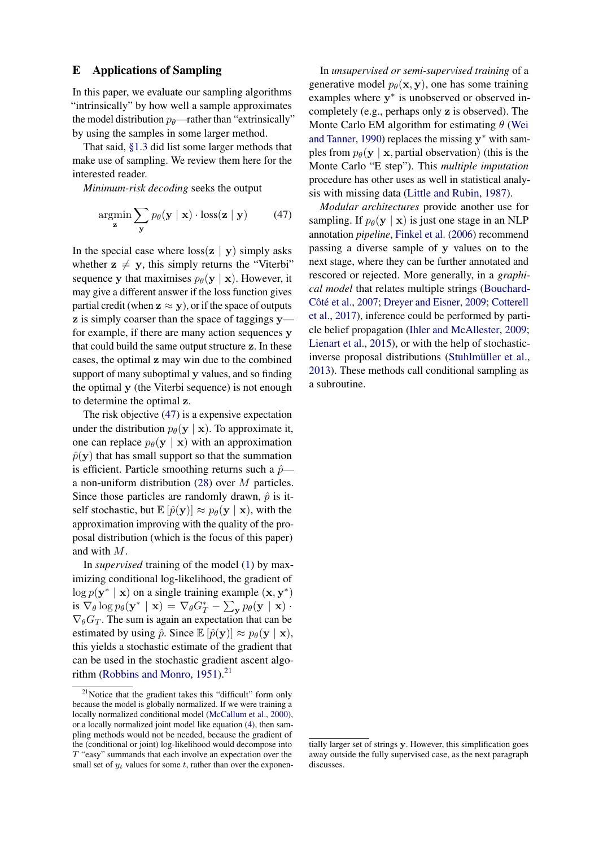### <span id="page-13-0"></span>E Applications of Sampling

In this paper, we evaluate our sampling algorithms "intrinsically" by how well a sample approximates the model distribution  $p_{\theta}$ —rather than "extrinsically" by using the samples in some larger method.

That said, [§1.3](#page-1-10) did list some larger methods that make use of sampling. We review them here for the interested reader.

*Minimum-risk decoding* seeks the output

$$
\underset{\mathbf{z}}{\operatorname{argmin}} \sum_{\mathbf{y}} p_{\theta}(\mathbf{y} \mid \mathbf{x}) \cdot \operatorname{loss}(\mathbf{z} \mid \mathbf{y}) \tag{47}
$$

In the special case where  $\cos(\mathbf{z} \mid \mathbf{y})$  simply asks whether  $z \neq y$ , this simply returns the "Viterbi" sequence y that maximises  $p_{\theta}(\mathbf{y} \mid \mathbf{x})$ . However, it may give a different answer if the loss function gives partial credit (when  $z \approx y$ ), or if the space of outputs z is simply coarser than the space of taggings y for example, if there are many action sequences y that could build the same output structure z. In these cases, the optimal z may win due to the combined support of many suboptimal y values, and so finding the optimal y (the Viterbi sequence) is not enough to determine the optimal z.

The risk objective [\(47\)](#page-13-1) is a expensive expectation under the distribution  $p_{\theta}(\mathbf{y} | \mathbf{x})$ . To approximate it, one can replace  $p_{\theta}(\mathbf{y} \mid \mathbf{x})$  with an approximation  $\hat{p}(\mathbf{y})$  that has small support so that the summation is efficient. Particle smoothing returns such a  $\hat{p}$  a non-uniform distribution [\(28\)](#page-5-2) over M particles. Since those particles are randomly drawn,  $\hat{p}$  is itself stochastic, but  $\mathbb{E} [\hat{p}(\mathbf{y})] \approx p_{\theta}(\mathbf{y} | \mathbf{x})$ , with the approximation improving with the quality of the proposal distribution (which is the focus of this paper) and with M.

In *supervised* training of the model [\(1\)](#page-0-1) by maximizing conditional log-likelihood, the gradient of  $\log p(\mathbf{y}^* | \mathbf{x})$  on a single training example  $(\mathbf{x}, \mathbf{y}^*)$ is  $\nabla_{\theta} \log p_{\theta}(\mathbf{y}^* \mid \mathbf{x}) = \nabla_{\theta} G_T^* - \sum_{\mathbf{y}} p_{\theta}(\mathbf{y} \mid \mathbf{x}) \cdot$  $\nabla_{\theta}G_T$ . The sum is again an expectation that can be estimated by using  $\hat{p}$ . Since  $\mathbb{E} [\hat{p}(\mathbf{y})] \approx p_{\theta}(\mathbf{y} | \mathbf{x})$ , this yields a stochastic estimate of the gradient that can be used in the stochastic gradient ascent algo-rithm [\(Robbins and Monro,](#page-10-19) [1951\)](#page-10-19).<sup>[21](#page-13-2)</sup>

In *unsupervised or semi-supervised training* of a generative model  $p_{\theta}(\mathbf{x}, \mathbf{y})$ , one has some training examples where  $y^*$  is unobserved or observed incompletely (e.g., perhaps only z is observed). The Monte Carlo EM algorithm for estimating  $\theta$  [\(Wei](#page-10-21) [and Tanner,](#page-10-21) [1990\)](#page-10-21) replaces the missing  $y^*$  with samples from  $p_{\theta}(\mathbf{y} \mid \mathbf{x})$ , partial observation) (this is the Monte Carlo "E step"). This *multiple imputation* procedure has other uses as well in statistical analysis with missing data [\(Little and Rubin,](#page-10-22) [1987\)](#page-10-22).

<span id="page-13-1"></span>*Modular architectures* provide another use for sampling. If  $p_{\theta}(\mathbf{y} \mid \mathbf{x})$  is just one stage in an NLP annotation *pipeline*, [Finkel et al.](#page-9-24) [\(2006\)](#page-9-24) recommend passing a diverse sample of y values on to the next stage, where they can be further annotated and rescored or rejected. More generally, in a *graphical model* that relates multiple strings [\(Bouchard-](#page-9-25)[Côté et al.,](#page-9-25) [2007;](#page-9-25) [Dreyer and Eisner,](#page-9-26) [2009;](#page-9-26) [Cotterell](#page-9-27) [et al.,](#page-9-27) [2017\)](#page-9-27), inference could be performed by particle belief propagation [\(Ihler and McAllester,](#page-9-28) [2009;](#page-9-28) [Lienart et al.,](#page-9-29) [2015\)](#page-9-29), or with the help of stochasticinverse proposal distributions [\(Stuhlmüller et al.,](#page-10-23) [2013\)](#page-10-23). These methods call conditional sampling as a subroutine.

<span id="page-13-2"></span><sup>&</sup>lt;sup>21</sup>Notice that the gradient takes this "difficult" form only because the model is globally normalized. If we were training a locally normalized conditional model [\(McCallum et al.,](#page-10-20) [2000\)](#page-10-20), or a locally normalized joint model like equation [\(4\)](#page-1-0), then sampling methods would not be needed, because the gradient of the (conditional or joint) log-likelihood would decompose into T "easy" summands that each involve an expectation over the small set of  $y_t$  values for some  $t$ , rather than over the exponen-

tially larger set of strings y. However, this simplification goes away outside the fully supervised case, as the next paragraph discusses.